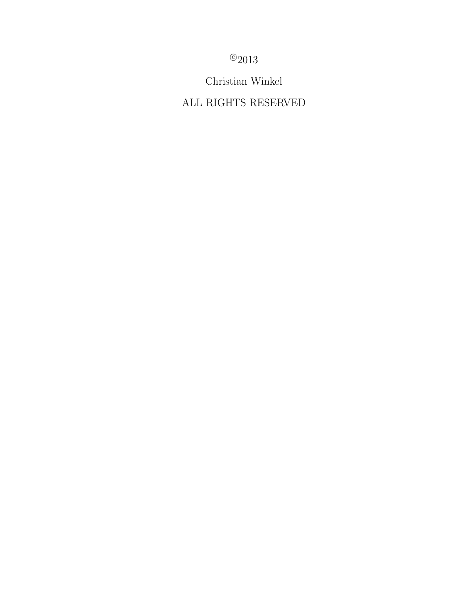$^{\circ}2013$ 

Christian Winkel

ALL RIGHTS RESERVED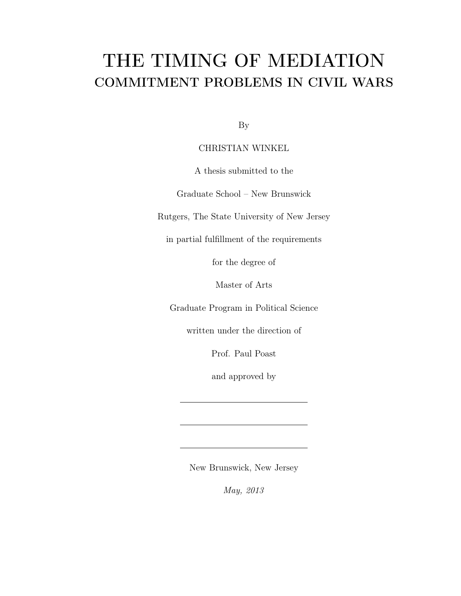# THE TIMING OF MEDIATION COMMITMENT PROBLEMS IN CIVIL WARS

By

## CHRISTIAN WINKEL

A thesis submitted to the

Graduate School – New Brunswick

Rutgers, The State University of New Jersey

in partial fulfillment of the requirements

for the degree of

Master of Arts

Graduate Program in Political Science

written under the direction of

Prof. Paul Poast

and approved by

New Brunswick, New Jersey

*May, 2013*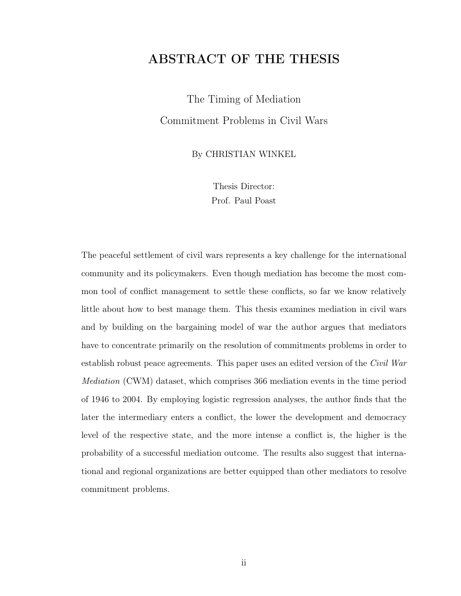# ABSTRACT OF THE THESIS

The Timing of Mediation Commitment Problems in Civil Wars

By CHRISTIAN WINKEL

Thesis Director: Prof. Paul Poast

The peaceful settlement of civil wars represents a key challenge for the international community and its policymakers. Even though mediation has become the most common tool of conflict management to settle these conflicts, so far we know relatively little about how to best manage them. This thesis examines mediation in civil wars and by building on the bargaining model of war the author argues that mediators have to concentrate primarily on the resolution of commitments problems in order to establish robust peace agreements. This paper uses an edited version of the *Civil War Mediation* (CWM) dataset, which comprises 366 mediation events in the time period of 1946 to 2004. By employing logistic regression analyses, the author finds that the later the intermediary enters a conflict, the lower the development and democracy level of the respective state, and the more intense a conflict is, the higher is the probability of a successful mediation outcome. The results also suggest that international and regional organizations are better equipped than other mediators to resolve commitment problems.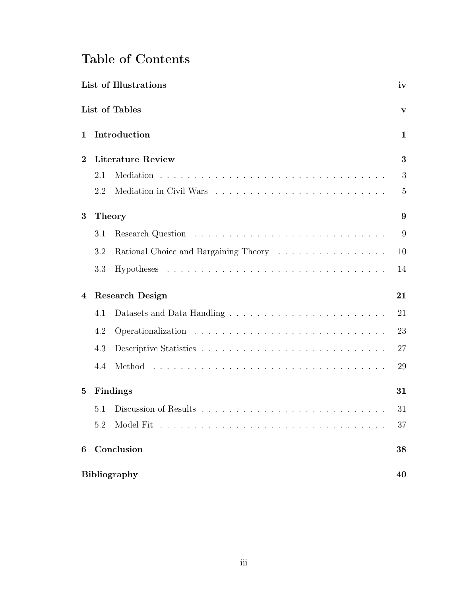# Table of Contents

| List of Illustrations |                        |                                                                            |              |  |  |
|-----------------------|------------------------|----------------------------------------------------------------------------|--------------|--|--|
|                       |                        | List of Tables                                                             | $\mathbf{v}$ |  |  |
| 1                     |                        | Introduction                                                               | $\mathbf{1}$ |  |  |
| $\overline{2}$        |                        | <b>Literature Review</b>                                                   | 3            |  |  |
|                       | 2.1                    |                                                                            | 3            |  |  |
|                       | 2.2                    |                                                                            | 5            |  |  |
| 3                     | <b>Theory</b>          |                                                                            |              |  |  |
|                       | 3.1                    |                                                                            | 9            |  |  |
|                       | 3.2                    | Rational Choice and Bargaining Theory $\ldots \ldots \ldots \ldots \ldots$ | 10           |  |  |
|                       | 3.3                    |                                                                            | 14           |  |  |
| 4                     | <b>Research Design</b> |                                                                            |              |  |  |
|                       | 4.1                    |                                                                            | 21           |  |  |
|                       | 4.2                    |                                                                            | 23           |  |  |
|                       | 4.3                    |                                                                            | 27           |  |  |
|                       | 4.4                    |                                                                            | 29           |  |  |
| $\bf{5}$              | Findings               |                                                                            |              |  |  |
|                       | 5.1                    |                                                                            | 31           |  |  |
|                       | 5.2                    |                                                                            | 37           |  |  |
| 6                     |                        | Conclusion                                                                 | 38           |  |  |
|                       |                        | <b>Bibliography</b>                                                        | 40           |  |  |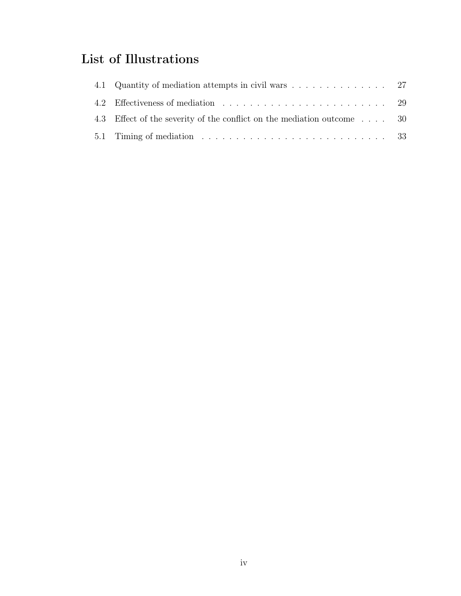# List of Illustrations

| 4.3 Effect of the severity of the conflict on the mediation outcome  30                                   |  |
|-----------------------------------------------------------------------------------------------------------|--|
| 5.1 Timing of mediation $\ldots \ldots \ldots \ldots \ldots \ldots \ldots \ldots \ldots \ldots \ldots$ 33 |  |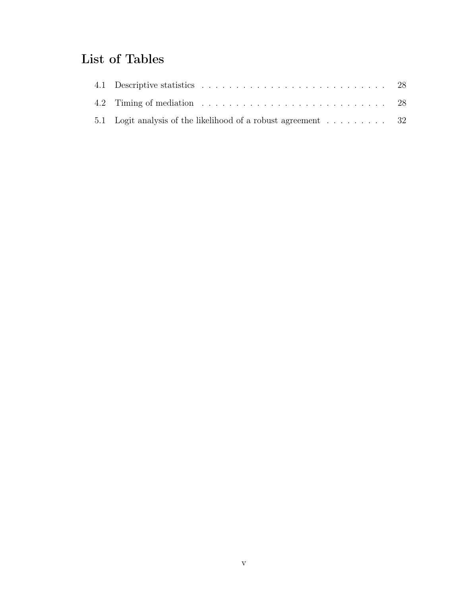# List of Tables

| 5.1 Logit analysis of the likelihood of a robust agreement $\dots \dots$ . |  |
|----------------------------------------------------------------------------|--|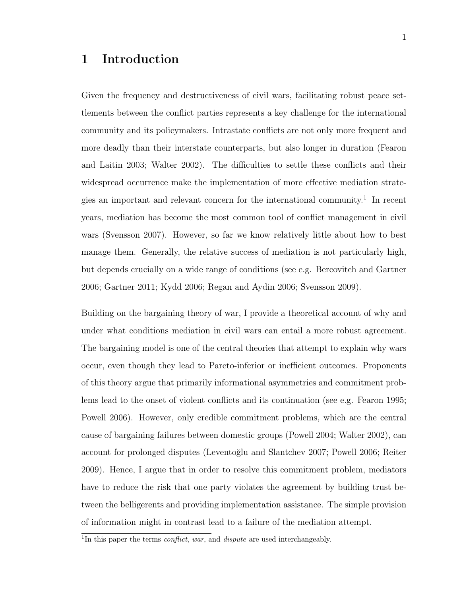# 1 Introduction

Given the frequency and destructiveness of civil wars, facilitating robust peace settlements between the conflict parties represents a key challenge for the international community and its policymakers. Intrastate conflicts are not only more frequent and more deadly than their interstate counterparts, but also longer in duration (Fearon and Laitin 2003; Walter 2002). The difficulties to settle these conflicts and their widespread occurrence make the implementation of more effective mediation strategies an important and relevant concern for the international community.<sup>1</sup> In recent years, mediation has become the most common tool of conflict management in civil wars (Svensson 2007). However, so far we know relatively little about how to best manage them. Generally, the relative success of mediation is not particularly high, but depends crucially on a wide range of conditions (see e.g. Bercovitch and Gartner 2006; Gartner 2011; Kydd 2006; Regan and Aydin 2006; Svensson 2009).

Building on the bargaining theory of war, I provide a theoretical account of why and under what conditions mediation in civil wars can entail a more robust agreement. The bargaining model is one of the central theories that attempt to explain why wars occur, even though they lead to Pareto-inferior or inefficient outcomes. Proponents of this theory argue that primarily informational asymmetries and commitment problems lead to the onset of violent conflicts and its continuation (see e.g. Fearon 1995; Powell 2006). However, only credible commitment problems, which are the central cause of bargaining failures between domestic groups (Powell 2004; Walter 2002), can account for prolonged disputes (Leventoğlu and Slantchev 2007; Powell 2006; Reiter 2009). Hence, I argue that in order to resolve this commitment problem, mediators have to reduce the risk that one party violates the agreement by building trust between the belligerents and providing implementation assistance. The simple provision of information might in contrast lead to a failure of the mediation attempt.

<sup>1</sup>In this paper the terms *conflict*, *war*, and *dispute* are used interchangeably.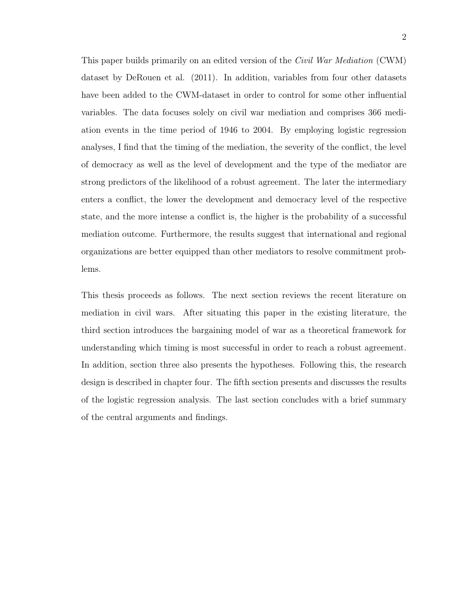This paper builds primarily on an edited version of the *Civil War Mediation* (CWM) dataset by DeRouen et al. (2011). In addition, variables from four other datasets have been added to the CWM-dataset in order to control for some other influential variables. The data focuses solely on civil war mediation and comprises 366 mediation events in the time period of 1946 to 2004. By employing logistic regression analyses, I find that the timing of the mediation, the severity of the conflict, the level of democracy as well as the level of development and the type of the mediator are strong predictors of the likelihood of a robust agreement. The later the intermediary enters a conflict, the lower the development and democracy level of the respective state, and the more intense a conflict is, the higher is the probability of a successful mediation outcome. Furthermore, the results suggest that international and regional organizations are better equipped than other mediators to resolve commitment problems.

This thesis proceeds as follows. The next section reviews the recent literature on mediation in civil wars. After situating this paper in the existing literature, the third section introduces the bargaining model of war as a theoretical framework for understanding which timing is most successful in order to reach a robust agreement. In addition, section three also presents the hypotheses. Following this, the research design is described in chapter four. The fifth section presents and discusses the results of the logistic regression analysis. The last section concludes with a brief summary of the central arguments and findings.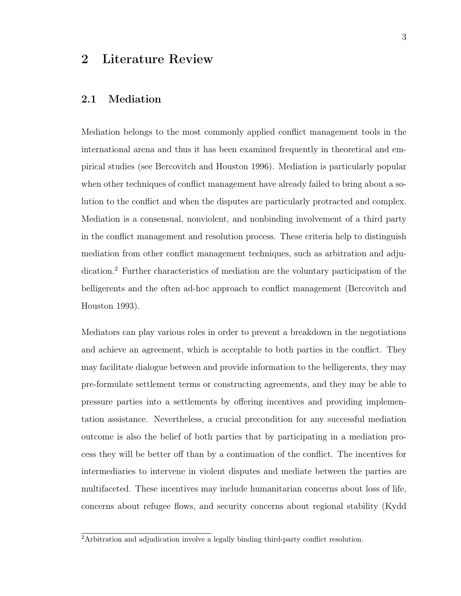## 2 Literature Review

## 2.1 Mediation

Mediation belongs to the most commonly applied conflict management tools in the international arena and thus it has been examined frequently in theoretical and empirical studies (see Bercovitch and Houston 1996). Mediation is particularly popular when other techniques of conflict management have already failed to bring about a solution to the conflict and when the disputes are particularly protracted and complex. Mediation is a consensual, nonviolent, and nonbinding involvement of a third party in the conflict management and resolution process. These criteria help to distinguish mediation from other conflict management techniques, such as arbitration and adjudication.<sup>2</sup> Further characteristics of mediation are the voluntary participation of the belligerents and the often ad-hoc approach to conflict management (Bercovitch and Houston 1993).

Mediators can play various roles in order to prevent a breakdown in the negotiations and achieve an agreement, which is acceptable to both parties in the conflict. They may facilitate dialogue between and provide information to the belligerents, they may pre-formulate settlement terms or constructing agreements, and they may be able to pressure parties into a settlements by offering incentives and providing implementation assistance. Nevertheless, a crucial precondition for any successful mediation outcome is also the belief of both parties that by participating in a mediation process they will be better off than by a continuation of the conflict. The incentives for intermediaries to intervene in violent disputes and mediate between the parties are multifaceted. These incentives may include humanitarian concerns about loss of life, concerns about refugee flows, and security concerns about regional stability (Kydd

<sup>2</sup>Arbitration and adjudication involve a legally binding third-party conflict resolution.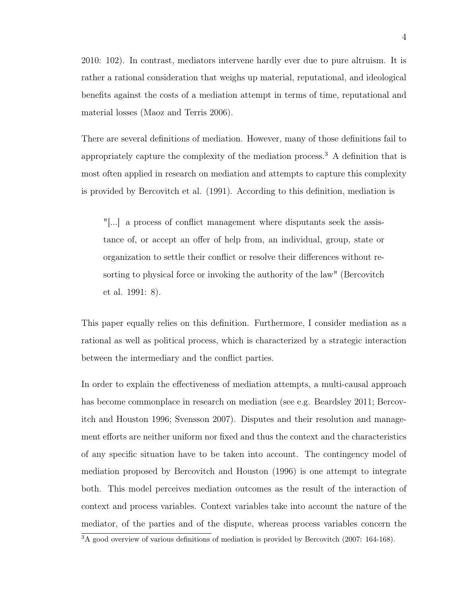2010: 102). In contrast, mediators intervene hardly ever due to pure altruism. It is rather a rational consideration that weighs up material, reputational, and ideological benefits against the costs of a mediation attempt in terms of time, reputational and material losses (Maoz and Terris 2006).

There are several definitions of mediation. However, many of those definitions fail to appropriately capture the complexity of the mediation process.<sup>3</sup> A definition that is most often applied in research on mediation and attempts to capture this complexity is provided by Bercovitch et al. (1991). According to this definition, mediation is

"[...] a process of conflict management where disputants seek the assistance of, or accept an offer of help from, an individual, group, state or organization to settle their conflict or resolve their differences without resorting to physical force or invoking the authority of the law" (Bercovitch et al. 1991: 8).

This paper equally relies on this definition. Furthermore, I consider mediation as a rational as well as political process, which is characterized by a strategic interaction between the intermediary and the conflict parties.

In order to explain the effectiveness of mediation attempts, a multi-causal approach has become commonplace in research on mediation (see e.g. Beardsley 2011; Bercovitch and Houston 1996; Svensson 2007). Disputes and their resolution and management efforts are neither uniform nor fixed and thus the context and the characteristics of any specific situation have to be taken into account. The contingency model of mediation proposed by Bercovitch and Houston (1996) is one attempt to integrate both. This model perceives mediation outcomes as the result of the interaction of context and process variables. Context variables take into account the nature of the mediator, of the parties and of the dispute, whereas process variables concern the

 $\overline{3A}$  good overview of various definitions of mediation is provided by Bercovitch (2007: 164-168).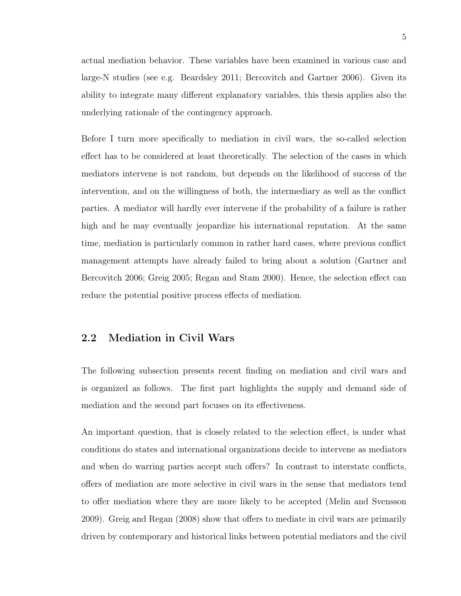actual mediation behavior. These variables have been examined in various case and large-N studies (see e.g. Beardsley 2011; Bercovitch and Gartner 2006). Given its ability to integrate many different explanatory variables, this thesis applies also the underlying rationale of the contingency approach.

Before I turn more specifically to mediation in civil wars, the so-called selection effect has to be considered at least theoretically. The selection of the cases in which mediators intervene is not random, but depends on the likelihood of success of the intervention, and on the willingness of both, the intermediary as well as the conflict parties. A mediator will hardly ever intervene if the probability of a failure is rather high and he may eventually jeopardize his international reputation. At the same time, mediation is particularly common in rather hard cases, where previous conflict management attempts have already failed to bring about a solution (Gartner and Bercovitch 2006; Greig 2005; Regan and Stam 2000). Hence, the selection effect can reduce the potential positive process effects of mediation.

## 2.2 Mediation in Civil Wars

The following subsection presents recent finding on mediation and civil wars and is organized as follows. The first part highlights the supply and demand side of mediation and the second part focuses on its effectiveness.

An important question, that is closely related to the selection effect, is under what conditions do states and international organizations decide to intervene as mediators and when do warring parties accept such offers? In contrast to interstate conflicts, offers of mediation are more selective in civil wars in the sense that mediators tend to offer mediation where they are more likely to be accepted (Melin and Svensson 2009). Greig and Regan (2008) show that offers to mediate in civil wars are primarily driven by contemporary and historical links between potential mediators and the civil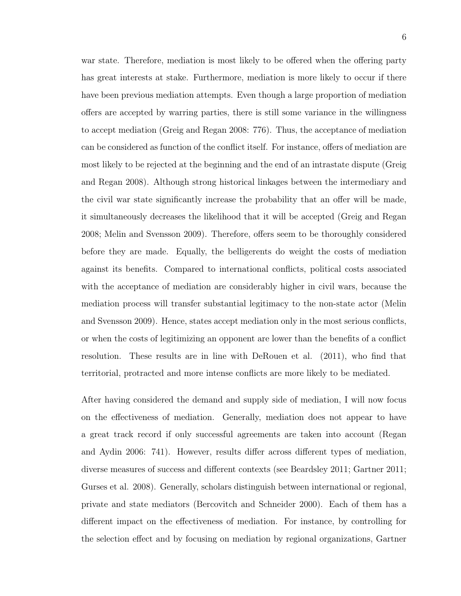war state. Therefore, mediation is most likely to be offered when the offering party has great interests at stake. Furthermore, mediation is more likely to occur if there have been previous mediation attempts. Even though a large proportion of mediation offers are accepted by warring parties, there is still some variance in the willingness to accept mediation (Greig and Regan 2008: 776). Thus, the acceptance of mediation can be considered as function of the conflict itself. For instance, offers of mediation are most likely to be rejected at the beginning and the end of an intrastate dispute (Greig and Regan 2008). Although strong historical linkages between the intermediary and the civil war state significantly increase the probability that an offer will be made, it simultaneously decreases the likelihood that it will be accepted (Greig and Regan 2008; Melin and Svensson 2009). Therefore, offers seem to be thoroughly considered before they are made. Equally, the belligerents do weight the costs of mediation against its benefits. Compared to international conflicts, political costs associated with the acceptance of mediation are considerably higher in civil wars, because the mediation process will transfer substantial legitimacy to the non-state actor (Melin and Svensson 2009). Hence, states accept mediation only in the most serious conflicts, or when the costs of legitimizing an opponent are lower than the benefits of a conflict resolution. These results are in line with DeRouen et al. (2011), who find that territorial, protracted and more intense conflicts are more likely to be mediated.

After having considered the demand and supply side of mediation, I will now focus on the effectiveness of mediation. Generally, mediation does not appear to have a great track record if only successful agreements are taken into account (Regan and Aydin 2006: 741). However, results differ across different types of mediation, diverse measures of success and different contexts (see Beardsley 2011; Gartner 2011; Gurses et al. 2008). Generally, scholars distinguish between international or regional, private and state mediators (Bercovitch and Schneider 2000). Each of them has a different impact on the effectiveness of mediation. For instance, by controlling for the selection effect and by focusing on mediation by regional organizations, Gartner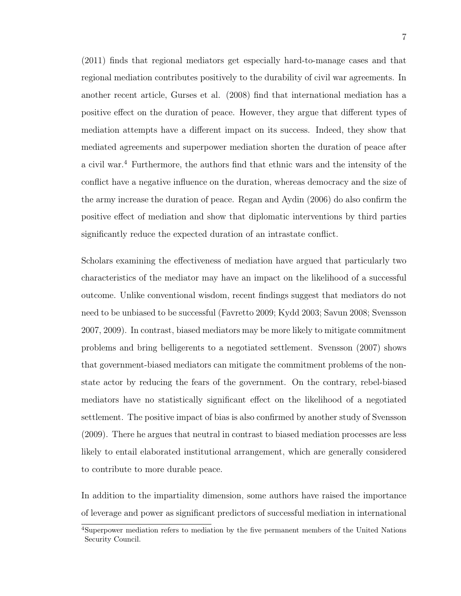(2011) finds that regional mediators get especially hard-to-manage cases and that regional mediation contributes positively to the durability of civil war agreements. In another recent article, Gurses et al. (2008) find that international mediation has a positive effect on the duration of peace. However, they argue that different types of mediation attempts have a different impact on its success. Indeed, they show that mediated agreements and superpower mediation shorten the duration of peace after a civil war.<sup>4</sup> Furthermore, the authors find that ethnic wars and the intensity of the conflict have a negative influence on the duration, whereas democracy and the size of the army increase the duration of peace. Regan and Aydin (2006) do also confirm the positive effect of mediation and show that diplomatic interventions by third parties significantly reduce the expected duration of an intrastate conflict.

Scholars examining the effectiveness of mediation have argued that particularly two characteristics of the mediator may have an impact on the likelihood of a successful outcome. Unlike conventional wisdom, recent findings suggest that mediators do not need to be unbiased to be successful (Favretto 2009; Kydd 2003; Savun 2008; Svensson 2007, 2009). In contrast, biased mediators may be more likely to mitigate commitment problems and bring belligerents to a negotiated settlement. Svensson (2007) shows that government-biased mediators can mitigate the commitment problems of the nonstate actor by reducing the fears of the government. On the contrary, rebel-biased mediators have no statistically significant effect on the likelihood of a negotiated settlement. The positive impact of bias is also confirmed by another study of Svensson (2009). There he argues that neutral in contrast to biased mediation processes are less likely to entail elaborated institutional arrangement, which are generally considered to contribute to more durable peace.

In addition to the impartiality dimension, some authors have raised the importance of leverage and power as significant predictors of successful mediation in international

<sup>4</sup>Superpower mediation refers to mediation by the five permanent members of the United Nations Security Council.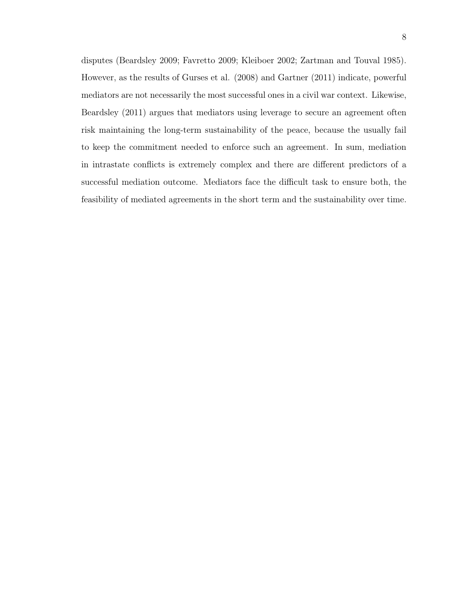disputes (Beardsley 2009; Favretto 2009; Kleiboer 2002; Zartman and Touval 1985). However, as the results of Gurses et al. (2008) and Gartner (2011) indicate, powerful mediators are not necessarily the most successful ones in a civil war context. Likewise, Beardsley (2011) argues that mediators using leverage to secure an agreement often risk maintaining the long-term sustainability of the peace, because the usually fail to keep the commitment needed to enforce such an agreement. In sum, mediation in intrastate conflicts is extremely complex and there are different predictors of a successful mediation outcome. Mediators face the difficult task to ensure both, the feasibility of mediated agreements in the short term and the sustainability over time.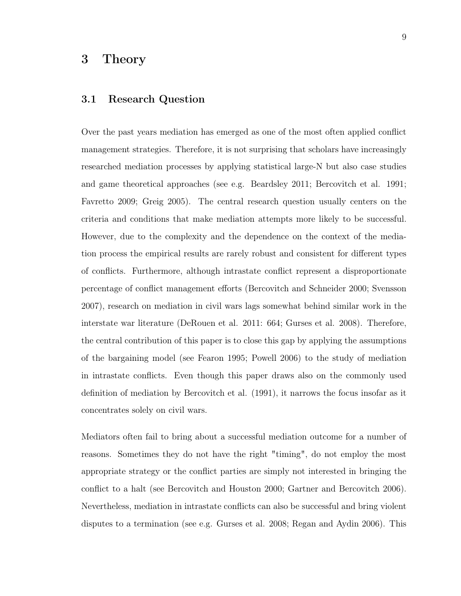## 3 Theory

## 3.1 Research Question

Over the past years mediation has emerged as one of the most often applied conflict management strategies. Therefore, it is not surprising that scholars have increasingly researched mediation processes by applying statistical large-N but also case studies and game theoretical approaches (see e.g. Beardsley 2011; Bercovitch et al. 1991; Favretto 2009; Greig 2005). The central research question usually centers on the criteria and conditions that make mediation attempts more likely to be successful. However, due to the complexity and the dependence on the context of the mediation process the empirical results are rarely robust and consistent for different types of conflicts. Furthermore, although intrastate conflict represent a disproportionate percentage of conflict management efforts (Bercovitch and Schneider 2000; Svensson 2007), research on mediation in civil wars lags somewhat behind similar work in the interstate war literature (DeRouen et al. 2011: 664; Gurses et al. 2008). Therefore, the central contribution of this paper is to close this gap by applying the assumptions of the bargaining model (see Fearon 1995; Powell 2006) to the study of mediation in intrastate conflicts. Even though this paper draws also on the commonly used definition of mediation by Bercovitch et al. (1991), it narrows the focus insofar as it concentrates solely on civil wars.

Mediators often fail to bring about a successful mediation outcome for a number of reasons. Sometimes they do not have the right "timing", do not employ the most appropriate strategy or the conflict parties are simply not interested in bringing the conflict to a halt (see Bercovitch and Houston 2000; Gartner and Bercovitch 2006). Nevertheless, mediation in intrastate conflicts can also be successful and bring violent disputes to a termination (see e.g. Gurses et al. 2008; Regan and Aydin 2006). This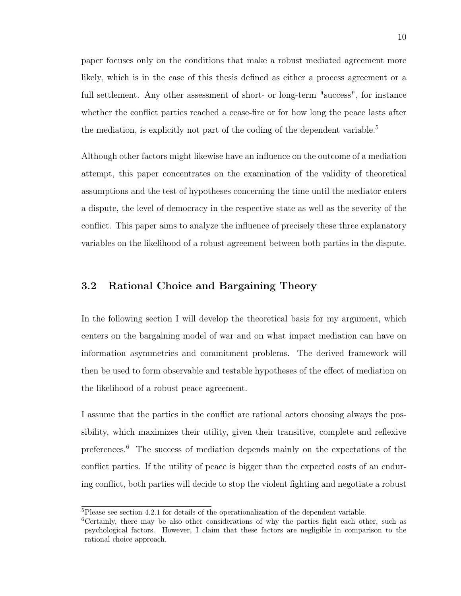paper focuses only on the conditions that make a robust mediated agreement more likely, which is in the case of this thesis defined as either a process agreement or a full settlement. Any other assessment of short- or long-term "success", for instance whether the conflict parties reached a cease-fire or for how long the peace lasts after the mediation, is explicitly not part of the coding of the dependent variable.<sup>5</sup>

Although other factors might likewise have an influence on the outcome of a mediation attempt, this paper concentrates on the examination of the validity of theoretical assumptions and the test of hypotheses concerning the time until the mediator enters a dispute, the level of democracy in the respective state as well as the severity of the conflict. This paper aims to analyze the influence of precisely these three explanatory variables on the likelihood of a robust agreement between both parties in the dispute.

## 3.2 Rational Choice and Bargaining Theory

In the following section I will develop the theoretical basis for my argument, which centers on the bargaining model of war and on what impact mediation can have on information asymmetries and commitment problems. The derived framework will then be used to form observable and testable hypotheses of the effect of mediation on the likelihood of a robust peace agreement.

I assume that the parties in the conflict are rational actors choosing always the possibility, which maximizes their utility, given their transitive, complete and reflexive preferences.<sup>6</sup> The success of mediation depends mainly on the expectations of the conflict parties. If the utility of peace is bigger than the expected costs of an enduring conflict, both parties will decide to stop the violent fighting and negotiate a robust

<sup>5</sup>Please see section 4.2.1 for details of the operationalization of the dependent variable.

<sup>6</sup>Certainly, there may be also other considerations of why the parties fight each other, such as psychological factors. However, I claim that these factors are negligible in comparison to the rational choice approach.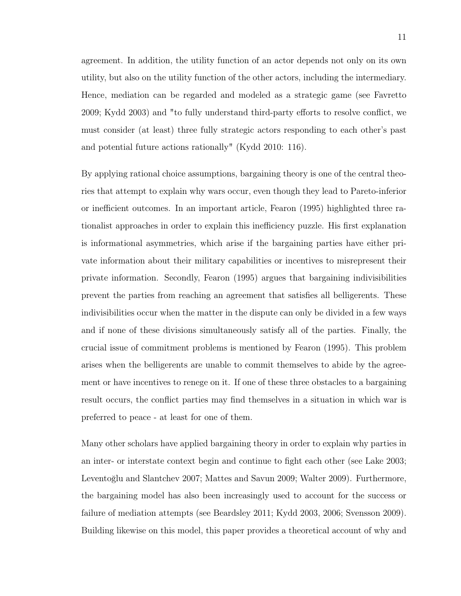agreement. In addition, the utility function of an actor depends not only on its own utility, but also on the utility function of the other actors, including the intermediary. Hence, mediation can be regarded and modeled as a strategic game (see Favretto 2009; Kydd 2003) and "to fully understand third-party efforts to resolve conflict, we must consider (at least) three fully strategic actors responding to each other's past and potential future actions rationally" (Kydd 2010: 116).

By applying rational choice assumptions, bargaining theory is one of the central theories that attempt to explain why wars occur, even though they lead to Pareto-inferior or inefficient outcomes. In an important article, Fearon (1995) highlighted three rationalist approaches in order to explain this inefficiency puzzle. His first explanation is informational asymmetries, which arise if the bargaining parties have either private information about their military capabilities or incentives to misrepresent their private information. Secondly, Fearon (1995) argues that bargaining indivisibilities prevent the parties from reaching an agreement that satisfies all belligerents. These indivisibilities occur when the matter in the dispute can only be divided in a few ways and if none of these divisions simultaneously satisfy all of the parties. Finally, the crucial issue of commitment problems is mentioned by Fearon (1995). This problem arises when the belligerents are unable to commit themselves to abide by the agreement or have incentives to renege on it. If one of these three obstacles to a bargaining result occurs, the conflict parties may find themselves in a situation in which war is preferred to peace - at least for one of them.

Many other scholars have applied bargaining theory in order to explain why parties in an inter- or interstate context begin and continue to fight each other (see Lake 2003; Leventoğlu and Slantchev 2007; Mattes and Savun 2009; Walter 2009). Furthermore, the bargaining model has also been increasingly used to account for the success or failure of mediation attempts (see Beardsley 2011; Kydd 2003, 2006; Svensson 2009). Building likewise on this model, this paper provides a theoretical account of why and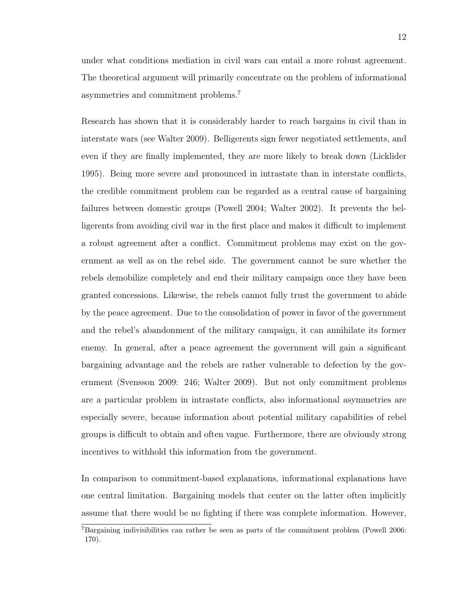under what conditions mediation in civil wars can entail a more robust agreement. The theoretical argument will primarily concentrate on the problem of informational asymmetries and commitment problems.<sup>7</sup>

Research has shown that it is considerably harder to reach bargains in civil than in interstate wars (see Walter 2009). Belligerents sign fewer negotiated settlements, and even if they are finally implemented, they are more likely to break down (Licklider 1995). Being more severe and pronounced in intrastate than in interstate conflicts, the credible commitment problem can be regarded as a central cause of bargaining failures between domestic groups (Powell 2004; Walter 2002). It prevents the belligerents from avoiding civil war in the first place and makes it difficult to implement a robust agreement after a conflict. Commitment problems may exist on the government as well as on the rebel side. The government cannot be sure whether the rebels demobilize completely and end their military campaign once they have been granted concessions. Likewise, the rebels cannot fully trust the government to abide by the peace agreement. Due to the consolidation of power in favor of the government and the rebel's abandonment of the military campaign, it can annihilate its former enemy. In general, after a peace agreement the government will gain a significant bargaining advantage and the rebels are rather vulnerable to defection by the government (Svensson 2009: 246; Walter 2009). But not only commitment problems are a particular problem in intrastate conflicts, also informational asymmetries are especially severe, because information about potential military capabilities of rebel groups is difficult to obtain and often vague. Furthermore, there are obviously strong incentives to withhold this information from the government.

In comparison to commitment-based explanations, informational explanations have one central limitation. Bargaining models that center on the latter often implicitly assume that there would be no fighting if there was complete information. However,

<sup>7</sup>Bargaining indivisibilities can rather be seen as parts of the commitment problem (Powell 2006: 170).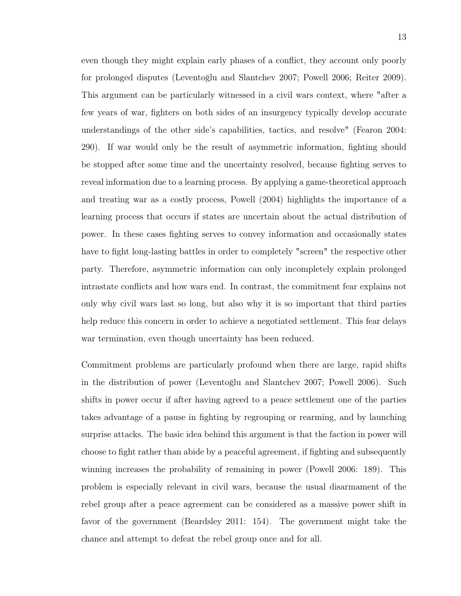even though they might explain early phases of a conflict, they account only poorly for prolonged disputes (Leventoğlu and Slantchev 2007; Powell 2006; Reiter 2009). This argument can be particularly witnessed in a civil wars context, where "after a few years of war, fighters on both sides of an insurgency typically develop accurate understandings of the other side's capabilities, tactics, and resolve" (Fearon 2004: 290). If war would only be the result of asymmetric information, fighting should be stopped after some time and the uncertainty resolved, because fighting serves to reveal information due to a learning process. By applying a game-theoretical approach and treating war as a costly process, Powell (2004) highlights the importance of a learning process that occurs if states are uncertain about the actual distribution of power. In these cases fighting serves to convey information and occasionally states have to fight long-lasting battles in order to completely "screen" the respective other party. Therefore, asymmetric information can only incompletely explain prolonged intrastate conflicts and how wars end. In contrast, the commitment fear explains not only why civil wars last so long, but also why it is so important that third parties help reduce this concern in order to achieve a negotiated settlement. This fear delays war termination, even though uncertainty has been reduced.

Commitment problems are particularly profound when there are large, rapid shifts in the distribution of power (Leventoğlu and Slantchev 2007; Powell 2006). Such shifts in power occur if after having agreed to a peace settlement one of the parties takes advantage of a pause in fighting by regrouping or rearming, and by launching surprise attacks. The basic idea behind this argument is that the faction in power will choose to fight rather than abide by a peaceful agreement, if fighting and subsequently winning increases the probability of remaining in power (Powell 2006: 189). This problem is especially relevant in civil wars, because the usual disarmament of the rebel group after a peace agreement can be considered as a massive power shift in favor of the government (Beardsley 2011: 154). The government might take the chance and attempt to defeat the rebel group once and for all.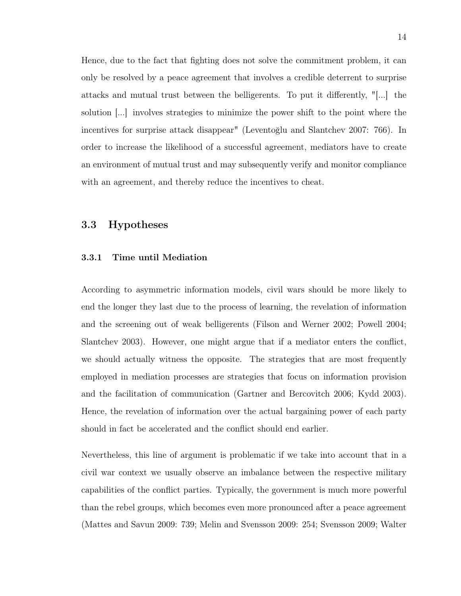Hence, due to the fact that fighting does not solve the commitment problem, it can only be resolved by a peace agreement that involves a credible deterrent to surprise attacks and mutual trust between the belligerents. To put it differently, "[...] the solution [...] involves strategies to minimize the power shift to the point where the incentives for surprise attack disappear" (Leventoğlu and Slantchev 2007: 766). In order to increase the likelihood of a successful agreement, mediators have to create an environment of mutual trust and may subsequently verify and monitor compliance with an agreement, and thereby reduce the incentives to cheat.

## 3.3 Hypotheses

#### 3.3.1 Time until Mediation

According to asymmetric information models, civil wars should be more likely to end the longer they last due to the process of learning, the revelation of information and the screening out of weak belligerents (Filson and Werner 2002; Powell 2004; Slantchev 2003). However, one might argue that if a mediator enters the conflict, we should actually witness the opposite. The strategies that are most frequently employed in mediation processes are strategies that focus on information provision and the facilitation of communication (Gartner and Bercovitch 2006; Kydd 2003). Hence, the revelation of information over the actual bargaining power of each party should in fact be accelerated and the conflict should end earlier.

Nevertheless, this line of argument is problematic if we take into account that in a civil war context we usually observe an imbalance between the respective military capabilities of the conflict parties. Typically, the government is much more powerful than the rebel groups, which becomes even more pronounced after a peace agreement (Mattes and Savun 2009: 739; Melin and Svensson 2009: 254; Svensson 2009; Walter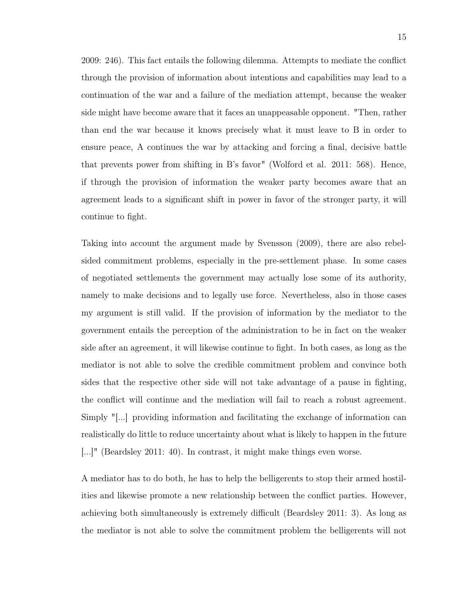2009: 246). This fact entails the following dilemma. Attempts to mediate the conflict through the provision of information about intentions and capabilities may lead to a continuation of the war and a failure of the mediation attempt, because the weaker side might have become aware that it faces an unappeasable opponent. "Then, rather than end the war because it knows precisely what it must leave to B in order to ensure peace, A continues the war by attacking and forcing a final, decisive battle that prevents power from shifting in B's favor" (Wolford et al. 2011: 568). Hence, if through the provision of information the weaker party becomes aware that an agreement leads to a significant shift in power in favor of the stronger party, it will continue to fight.

Taking into account the argument made by Svensson (2009), there are also rebelsided commitment problems, especially in the pre-settlement phase. In some cases of negotiated settlements the government may actually lose some of its authority, namely to make decisions and to legally use force. Nevertheless, also in those cases my argument is still valid. If the provision of information by the mediator to the government entails the perception of the administration to be in fact on the weaker side after an agreement, it will likewise continue to fight. In both cases, as long as the mediator is not able to solve the credible commitment problem and convince both sides that the respective other side will not take advantage of a pause in fighting, the conflict will continue and the mediation will fail to reach a robust agreement. Simply "[...] providing information and facilitating the exchange of information can realistically do little to reduce uncertainty about what is likely to happen in the future [...]" (Beardsley 2011: 40). In contrast, it might make things even worse.

A mediator has to do both, he has to help the belligerents to stop their armed hostilities and likewise promote a new relationship between the conflict parties. However, achieving both simultaneously is extremely difficult (Beardsley 2011: 3). As long as the mediator is not able to solve the commitment problem the belligerents will not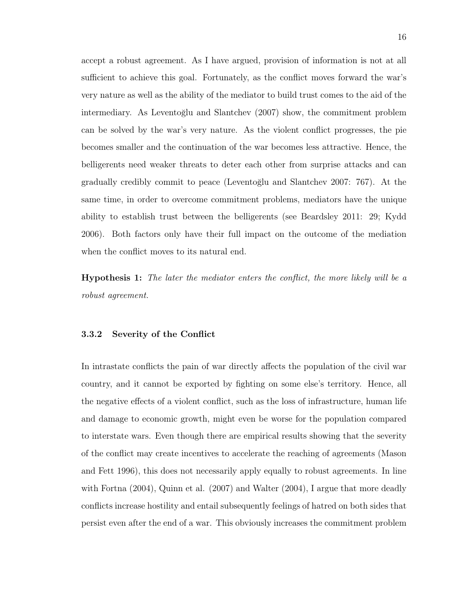accept a robust agreement. As I have argued, provision of information is not at all sufficient to achieve this goal. Fortunately, as the conflict moves forward the war's very nature as well as the ability of the mediator to build trust comes to the aid of the intermediary. As Leventoğlu and Slantchev (2007) show, the commitment problem can be solved by the war's very nature. As the violent conflict progresses, the pie becomes smaller and the continuation of the war becomes less attractive. Hence, the belligerents need weaker threats to deter each other from surprise attacks and can gradually credibly commit to peace (Leventoğlu and Slantchev 2007: 767). At the same time, in order to overcome commitment problems, mediators have the unique ability to establish trust between the belligerents (see Beardsley 2011: 29; Kydd 2006). Both factors only have their full impact on the outcome of the mediation when the conflict moves to its natural end.

Hypothesis 1: *The later the mediator enters the conflict, the more likely will be a robust agreement.*

## 3.3.2 Severity of the Conflict

In intrastate conflicts the pain of war directly affects the population of the civil war country, and it cannot be exported by fighting on some else's territory. Hence, all the negative effects of a violent conflict, such as the loss of infrastructure, human life and damage to economic growth, might even be worse for the population compared to interstate wars. Even though there are empirical results showing that the severity of the conflict may create incentives to accelerate the reaching of agreements (Mason and Fett 1996), this does not necessarily apply equally to robust agreements. In line with Fortna (2004), Quinn et al. (2007) and Walter (2004), I argue that more deadly conflicts increase hostility and entail subsequently feelings of hatred on both sides that persist even after the end of a war. This obviously increases the commitment problem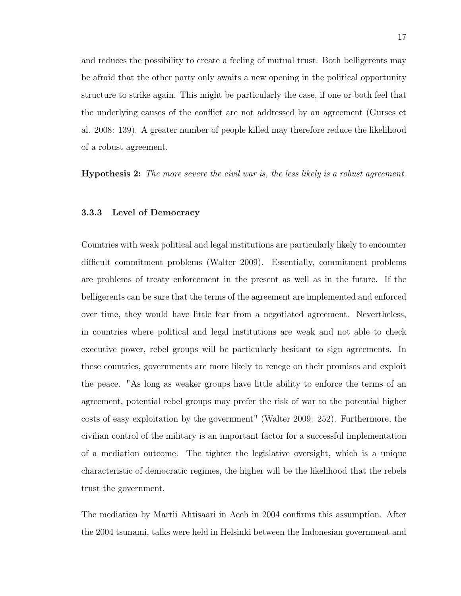and reduces the possibility to create a feeling of mutual trust. Both belligerents may be afraid that the other party only awaits a new opening in the political opportunity structure to strike again. This might be particularly the case, if one or both feel that the underlying causes of the conflict are not addressed by an agreement (Gurses et al. 2008: 139). A greater number of people killed may therefore reduce the likelihood of a robust agreement.

Hypothesis 2: *The more severe the civil war is, the less likely is a robust agreement.*

#### 3.3.3 Level of Democracy

Countries with weak political and legal institutions are particularly likely to encounter difficult commitment problems (Walter 2009). Essentially, commitment problems are problems of treaty enforcement in the present as well as in the future. If the belligerents can be sure that the terms of the agreement are implemented and enforced over time, they would have little fear from a negotiated agreement. Nevertheless, in countries where political and legal institutions are weak and not able to check executive power, rebel groups will be particularly hesitant to sign agreements. In these countries, governments are more likely to renege on their promises and exploit the peace. "As long as weaker groups have little ability to enforce the terms of an agreement, potential rebel groups may prefer the risk of war to the potential higher costs of easy exploitation by the government" (Walter 2009: 252). Furthermore, the civilian control of the military is an important factor for a successful implementation of a mediation outcome. The tighter the legislative oversight, which is a unique characteristic of democratic regimes, the higher will be the likelihood that the rebels trust the government.

The mediation by Martii Ahtisaari in Aceh in 2004 confirms this assumption. After the 2004 tsunami, talks were held in Helsinki between the Indonesian government and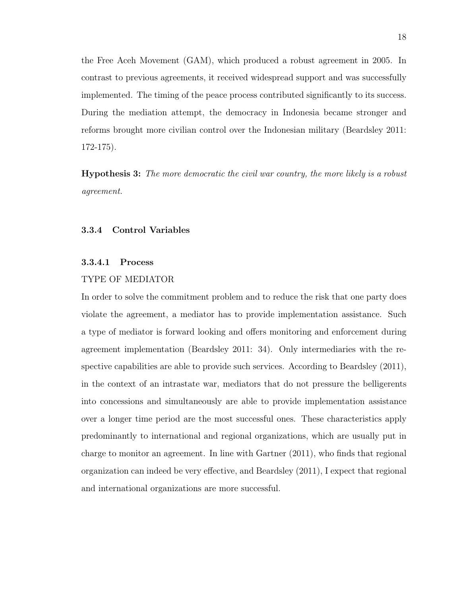the Free Aceh Movement (GAM), which produced a robust agreement in 2005. In contrast to previous agreements, it received widespread support and was successfully implemented. The timing of the peace process contributed significantly to its success. During the mediation attempt, the democracy in Indonesia became stronger and reforms brought more civilian control over the Indonesian military (Beardsley 2011: 172-175).

Hypothesis 3: *The more democratic the civil war country, the more likely is a robust agreement.*

### 3.3.4 Control Variables

### 3.3.4.1 Process

#### TYPE OF MEDIATOR

In order to solve the commitment problem and to reduce the risk that one party does violate the agreement, a mediator has to provide implementation assistance. Such a type of mediator is forward looking and offers monitoring and enforcement during agreement implementation (Beardsley 2011: 34). Only intermediaries with the respective capabilities are able to provide such services. According to Beardsley (2011), in the context of an intrastate war, mediators that do not pressure the belligerents into concessions and simultaneously are able to provide implementation assistance over a longer time period are the most successful ones. These characteristics apply predominantly to international and regional organizations, which are usually put in charge to monitor an agreement. In line with Gartner (2011), who finds that regional organization can indeed be very effective, and Beardsley (2011), I expect that regional and international organizations are more successful.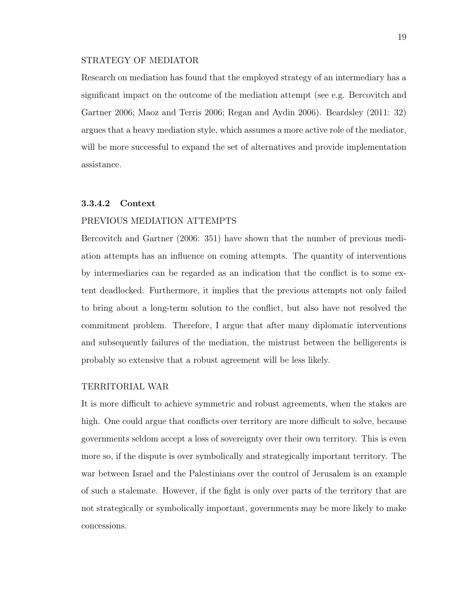#### STRATEGY OF MEDIATOR

Research on mediation has found that the employed strategy of an intermediary has a significant impact on the outcome of the mediation attempt (see e.g. Bercovitch and Gartner 2006; Maoz and Terris 2006; Regan and Aydin 2006). Beardsley (2011: 32) argues that a heavy mediation style, which assumes a more active role of the mediator, will be more successful to expand the set of alternatives and provide implementation assistance.

## 3.3.4.2 Context

## PREVIOUS MEDIATION ATTEMPTS

Bercovitch and Gartner (2006: 351) have shown that the number of previous mediation attempts has an influence on coming attempts. The quantity of interventions by intermediaries can be regarded as an indication that the conflict is to some extent deadlocked. Furthermore, it implies that the previous attempts not only failed to bring about a long-term solution to the conflict, but also have not resolved the commitment problem. Therefore, I argue that after many diplomatic interventions and subsequently failures of the mediation, the mistrust between the belligerents is probably so extensive that a robust agreement will be less likely.

## TERRITORIAL WAR

It is more difficult to achieve symmetric and robust agreements, when the stakes are high. One could argue that conflicts over territory are more difficult to solve, because governments seldom accept a loss of sovereignty over their own territory. This is even more so, if the dispute is over symbolically and strategically important territory. The war between Israel and the Palestinians over the control of Jerusalem is an example of such a stalemate. However, if the fight is only over parts of the territory that are not strategically or symbolically important, governments may be more likely to make concessions.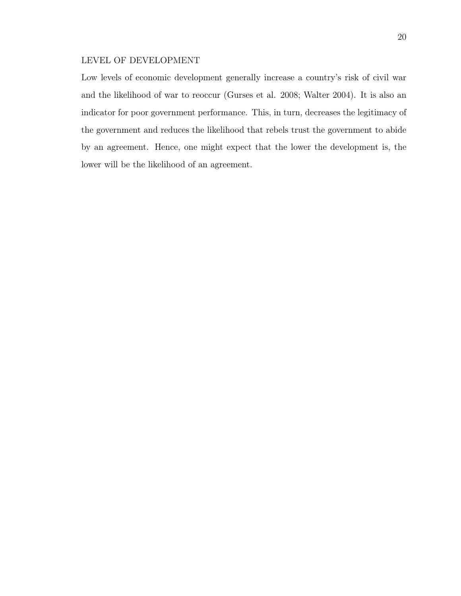## LEVEL OF DEVELOPMENT

Low levels of economic development generally increase a country's risk of civil war and the likelihood of war to reoccur (Gurses et al. 2008; Walter 2004). It is also an indicator for poor government performance. This, in turn, decreases the legitimacy of the government and reduces the likelihood that rebels trust the government to abide by an agreement. Hence, one might expect that the lower the development is, the lower will be the likelihood of an agreement.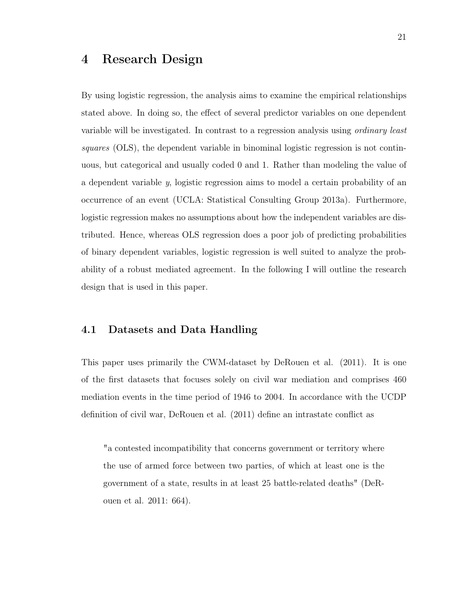## 4 Research Design

By using logistic regression, the analysis aims to examine the empirical relationships stated above. In doing so, the effect of several predictor variables on one dependent variable will be investigated. In contrast to a regression analysis using *ordinary least squares* (OLS), the dependent variable in binominal logistic regression is not continuous, but categorical and usually coded 0 and 1. Rather than modeling the value of a dependent variable *y*, logistic regression aims to model a certain probability of an occurrence of an event (UCLA: Statistical Consulting Group 2013a). Furthermore, logistic regression makes no assumptions about how the independent variables are distributed. Hence, whereas OLS regression does a poor job of predicting probabilities of binary dependent variables, logistic regression is well suited to analyze the probability of a robust mediated agreement. In the following I will outline the research design that is used in this paper.

## 4.1 Datasets and Data Handling

This paper uses primarily the CWM-dataset by DeRouen et al. (2011). It is one of the first datasets that focuses solely on civil war mediation and comprises 460 mediation events in the time period of 1946 to 2004. In accordance with the UCDP definition of civil war, DeRouen et al. (2011) define an intrastate conflict as

"a contested incompatibility that concerns government or territory where the use of armed force between two parties, of which at least one is the government of a state, results in at least 25 battle-related deaths" (DeRouen et al. 2011: 664).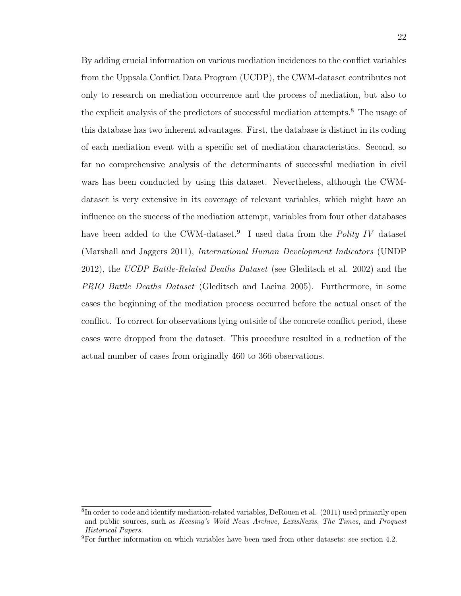By adding crucial information on various mediation incidences to the conflict variables from the Uppsala Conflict Data Program (UCDP), the CWM-dataset contributes not only to research on mediation occurrence and the process of mediation, but also to the explicit analysis of the predictors of successful mediation attempts.<sup>8</sup> The usage of this database has two inherent advantages. First, the database is distinct in its coding of each mediation event with a specific set of mediation characteristics. Second, so far no comprehensive analysis of the determinants of successful mediation in civil wars has been conducted by using this dataset. Nevertheless, although the CWMdataset is very extensive in its coverage of relevant variables, which might have an influence on the success of the mediation attempt, variables from four other databases have been added to the CWM-dataset.<sup>9</sup> I used data from the *Polity IV* dataset (Marshall and Jaggers 2011), *International Human Development Indicators* (UNDP 2012), the *UCDP Battle-Related Deaths Dataset* (see Gleditsch et al. 2002) and the *PRIO Battle Deaths Dataset* (Gleditsch and Lacina 2005). Furthermore, in some cases the beginning of the mediation process occurred before the actual onset of the conflict. To correct for observations lying outside of the concrete conflict period, these cases were dropped from the dataset. This procedure resulted in a reduction of the actual number of cases from originally 460 to 366 observations.

<sup>&</sup>lt;sup>8</sup>In order to code and identify mediation-related variables, DeRouen et al. (2011) used primarily open and public sources, such as *Keesing's Wold News Archive*, *LexisNexis*, *The Times*, and *Proquest Historical Papers.*

 $9F$  For further information on which variables have been used from other datasets: see section 4.2.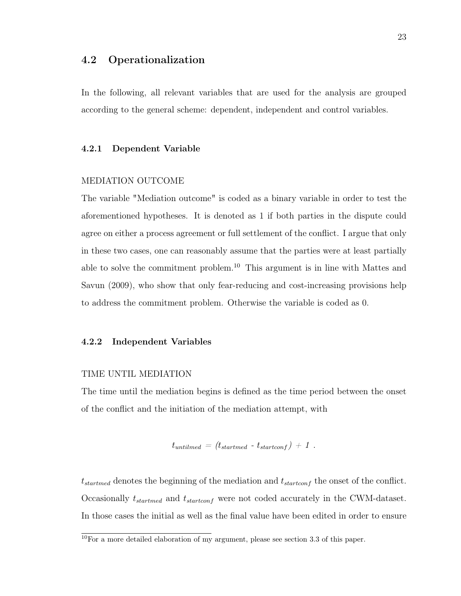## 4.2 Operationalization

In the following, all relevant variables that are used for the analysis are grouped according to the general scheme: dependent, independent and control variables.

#### 4.2.1 Dependent Variable

#### MEDIATION OUTCOME

The variable "Mediation outcome" is coded as a binary variable in order to test the aforementioned hypotheses. It is denoted as 1 if both parties in the dispute could agree on either a process agreement or full settlement of the conflict. I argue that only in these two cases, one can reasonably assume that the parties were at least partially able to solve the commitment problem.<sup>10</sup> This argument is in line with Mattes and Savun (2009), who show that only fear-reducing and cost-increasing provisions help to address the commitment problem. Otherwise the variable is coded as 0.

#### 4.2.2 Independent Variables

## TIME UNTIL MEDIATION

The time until the mediation begins is defined as the time period between the onset of the conflict and the initiation of the mediation attempt, with

$$
t_{untilmed} = (t_{startmed} - t_{startconf}) + 1.
$$

t*startmed* denotes the beginning of the mediation and t*startconf* the onset of the conflict. Occasionally t*startmed* and t*startconf* were not coded accurately in the CWM-dataset. In those cases the initial as well as the final value have been edited in order to ensure

 $\frac{10}{10}$  For a more detailed elaboration of my argument, please see section 3.3 of this paper.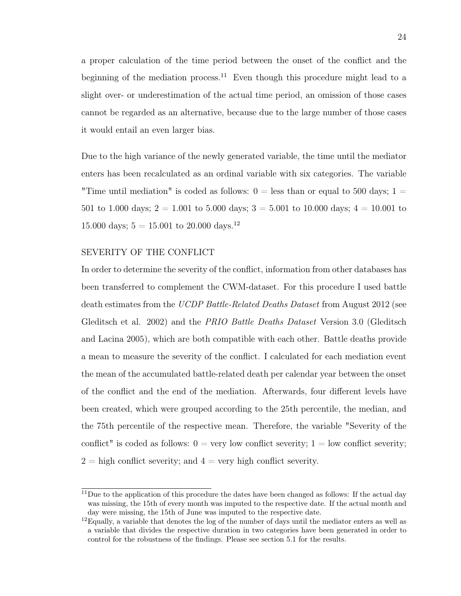a proper calculation of the time period between the onset of the conflict and the beginning of the mediation process.<sup>11</sup> Even though this procedure might lead to a slight over- or underestimation of the actual time period, an omission of those cases cannot be regarded as an alternative, because due to the large number of those cases it would entail an even larger bias.

Due to the high variance of the newly generated variable, the time until the mediator enters has been recalculated as an ordinal variable with six categories. The variable "Time until mediation" is coded as follows:  $0 =$  less than or equal to 500 days;  $1 =$ 501 to 1.000 days;  $2 = 1.001$  to 5.000 days;  $3 = 5.001$  to 10.000 days;  $4 = 10.001$  to 15.000 days;  $5 = 15.001$  to 20.000 days.<sup>12</sup>

## SEVERITY OF THE CONFLICT

In order to determine the severity of the conflict, information from other databases has been transferred to complement the CWM-dataset. For this procedure I used battle death estimates from the *UCDP Battle-Related Deaths Dataset* from August 2012 (see Gleditsch et al. 2002) and the *PRIO Battle Deaths Dataset* Version 3.0 (Gleditsch and Lacina 2005), which are both compatible with each other. Battle deaths provide a mean to measure the severity of the conflict. I calculated for each mediation event the mean of the accumulated battle-related death per calendar year between the onset of the conflict and the end of the mediation. Afterwards, four different levels have been created, which were grouped according to the 25th percentile, the median, and the 75th percentile of the respective mean. Therefore, the variable "Severity of the conflict" is coded as follows:  $0 = \text{very low conflict severity}; 1 = \text{low conflict severity};$  $2 =$  high conflict severity; and  $4 =$  very high conflict severity.

 $11$ Due to the application of this procedure the dates have been changed as follows: If the actual day was missing, the 15th of every month was imputed to the respective date. If the actual month and day were missing, the 15th of June was imputed to the respective date.

 $12$ Equally, a variable that denotes the log of the number of days until the mediator enters as well as a variable that divides the respective duration in two categories have been generated in order to control for the robustness of the findings. Please see section 5.1 for the results.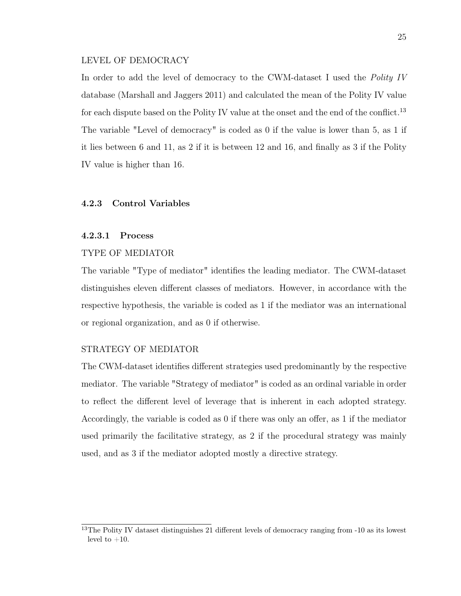#### LEVEL OF DEMOCRACY

In order to add the level of democracy to the CWM-dataset I used the *Polity IV* database (Marshall and Jaggers 2011) and calculated the mean of the Polity IV value for each dispute based on the Polity IV value at the onset and the end of the conflict.<sup>13</sup> The variable "Level of democracy" is coded as 0 if the value is lower than 5, as 1 if it lies between 6 and 11, as 2 if it is between 12 and 16, and finally as 3 if the Polity IV value is higher than 16.

## 4.2.3 Control Variables

### 4.2.3.1 Process

## TYPE OF MEDIATOR

The variable "Type of mediator" identifies the leading mediator. The CWM-dataset distinguishes eleven different classes of mediators. However, in accordance with the respective hypothesis, the variable is coded as 1 if the mediator was an international or regional organization, and as 0 if otherwise.

## STRATEGY OF MEDIATOR

The CWM-dataset identifies different strategies used predominantly by the respective mediator. The variable "Strategy of mediator" is coded as an ordinal variable in order to reflect the different level of leverage that is inherent in each adopted strategy. Accordingly, the variable is coded as 0 if there was only an offer, as 1 if the mediator used primarily the facilitative strategy, as 2 if the procedural strategy was mainly used, and as 3 if the mediator adopted mostly a directive strategy.

<sup>&</sup>lt;sup>13</sup>The Polity IV dataset distinguishes 21 different levels of democracy ranging from -10 as its lowest level to  $+10$ .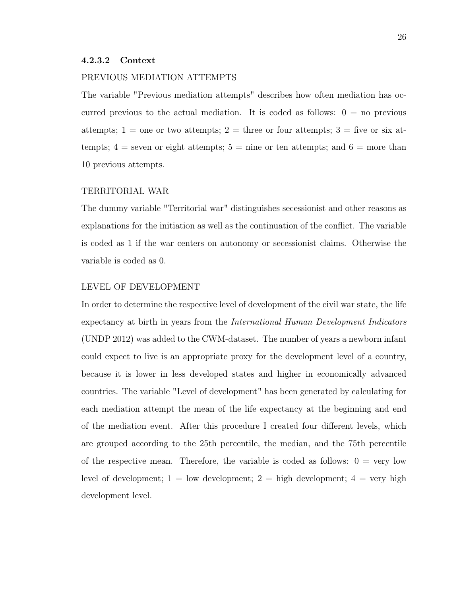#### 4.2.3.2 Context

#### PREVIOUS MEDIATION ATTEMPTS

The variable "Previous mediation attempts" describes how often mediation has occurred previous to the actual mediation. It is coded as follows:  $0 =$  no previous attempts;  $1 =$  one or two attempts;  $2 =$  three or four attempts;  $3 =$  five or six attempts;  $4 =$  seven or eight attempts;  $5 =$  nine or ten attempts; and  $6 =$  more than 10 previous attempts.

### TERRITORIAL WAR

The dummy variable "Territorial war" distinguishes secessionist and other reasons as explanations for the initiation as well as the continuation of the conflict. The variable is coded as 1 if the war centers on autonomy or secessionist claims. Otherwise the variable is coded as 0.

#### LEVEL OF DEVELOPMENT

In order to determine the respective level of development of the civil war state, the life expectancy at birth in years from the *International Human Development Indicators* (UNDP 2012) was added to the CWM-dataset. The number of years a newborn infant could expect to live is an appropriate proxy for the development level of a country, because it is lower in less developed states and higher in economically advanced countries. The variable "Level of development" has been generated by calculating for each mediation attempt the mean of the life expectancy at the beginning and end of the mediation event. After this procedure I created four different levels, which are grouped according to the 25th percentile, the median, and the 75th percentile of the respective mean. Therefore, the variable is coded as follows:  $0 = \text{very low}$ level of development;  $1 =$  low development;  $2 =$  high development;  $4 =$  very high development level.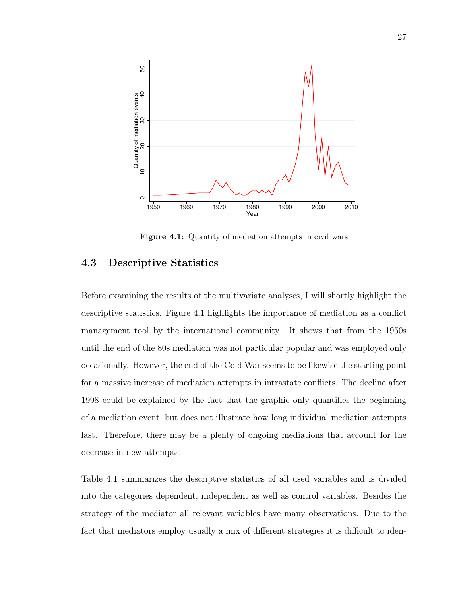

Figure 4.1: Quantity of mediation attempts in civil wars

## 4.3 Descriptive Statistics

Before examining the results of the multivariate analyses, I will shortly highlight the descriptive statistics. Figure 4.1 highlights the importance of mediation as a conflict management tool by the international community. It shows that from the 1950s until the end of the 80s mediation was not particular popular and was employed only occasionally. However, the end of the Cold War seems to be likewise the starting point for a massive increase of mediation attempts in intrastate conflicts. The decline after 1998 could be explained by the fact that the graphic only quantifies the beginning of a mediation event, but does not illustrate how long individual mediation attempts last. Therefore, there may be a plenty of ongoing mediations that account for the decrease in new attempts.

Table 4.1 summarizes the descriptive statistics of all used variables and is divided into the categories dependent, independent as well as control variables. Besides the strategy of the mediator all relevant variables have many observations. Due to the fact that mediators employ usually a mix of different strategies it is difficult to iden-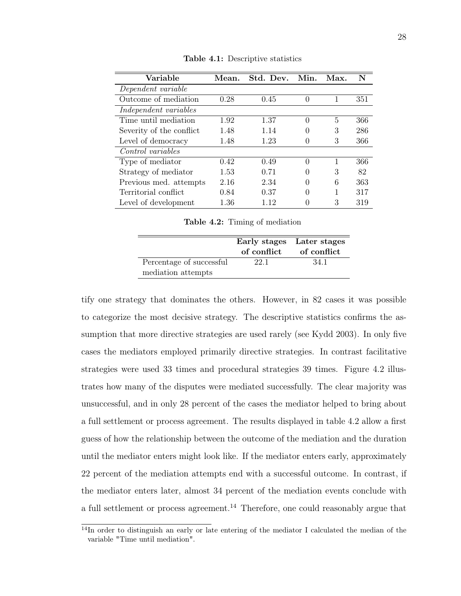| Variable                 | Mean. | Std. Dev. | Min.             | Max. | N   |
|--------------------------|-------|-----------|------------------|------|-----|
| Dependent variable       |       |           |                  |      |     |
| Outcome of mediation     | 0.28  | 0.45      | $\Omega$         | 1    | 351 |
| Independent variables    |       |           |                  |      |     |
| Time until mediation     | 1.92  | 1.37      | $\theta$         | 5    | 366 |
| Severity of the conflict | 1.48  | 1.14      | $\left( \right)$ | 3    | 286 |
| Level of democracy       | 1.48  | 1.23      | $\theta$         | 3    | 366 |
| Control variables        |       |           |                  |      |     |
| Type of mediator         | 0.42  | 0.49      | $\Omega$         | 1    | 366 |
| Strategy of mediator     | 1.53  | 0.71      | 0                | 3    | 82  |
| Previous med. attempts   | 2.16  | 2.34      | 0                | 6    | 363 |
| Territorial conflict     | 0.84  | 0.37      | 0                | 1    | 317 |
| Level of development     | 1.36  | 112       | $\left( \right)$ | 3    | 319 |

Table 4.1: Descriptive statistics

Table 4.2: Timing of mediation

|                          |      | Early stages Later stages<br>of conflict of conflict |
|--------------------------|------|------------------------------------------------------|
| Percentage of successful | 22.1 | 34.1                                                 |
| mediation attempts       |      |                                                      |

tify one strategy that dominates the others. However, in 82 cases it was possible to categorize the most decisive strategy. The descriptive statistics confirms the assumption that more directive strategies are used rarely (see Kydd 2003). In only five cases the mediators employed primarily directive strategies. In contrast facilitative strategies were used 33 times and procedural strategies 39 times. Figure 4.2 illustrates how many of the disputes were mediated successfully. The clear majority was unsuccessful, and in only 28 percent of the cases the mediator helped to bring about a full settlement or process agreement. The results displayed in table 4.2 allow a first guess of how the relationship between the outcome of the mediation and the duration until the mediator enters might look like. If the mediator enters early, approximately 22 percent of the mediation attempts end with a successful outcome. In contrast, if the mediator enters later, almost 34 percent of the mediation events conclude with a full settlement or process agreement.<sup>14</sup> Therefore, one could reasonably argue that

<sup>&</sup>lt;sup>14</sup>In order to distinguish an early or late entering of the mediator I calculated the median of the variable "Time until mediation".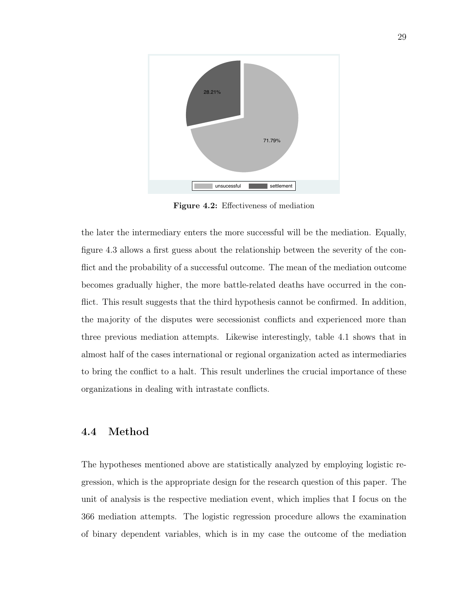

Figure 4.2: Effectiveness of mediation

the later the intermediary enters the more successful will be the mediation. Equally, figure 4.3 allows a first guess about the relationship between the severity of the conflict and the probability of a successful outcome. The mean of the mediation outcome becomes gradually higher, the more battle-related deaths have occurred in the conflict. This result suggests that the third hypothesis cannot be confirmed. In addition, the majority of the disputes were secessionist conflicts and experienced more than three previous mediation attempts. Likewise interestingly, table 4.1 shows that in almost half of the cases international or regional organization acted as intermediaries to bring the conflict to a halt. This result underlines the crucial importance of these organizations in dealing with intrastate conflicts.

## 4.4 Method

The hypotheses mentioned above are statistically analyzed by employing logistic regression, which is the appropriate design for the research question of this paper. The unit of analysis is the respective mediation event, which implies that I focus on the 366 mediation attempts. The logistic regression procedure allows the examination of binary dependent variables, which is in my case the outcome of the mediation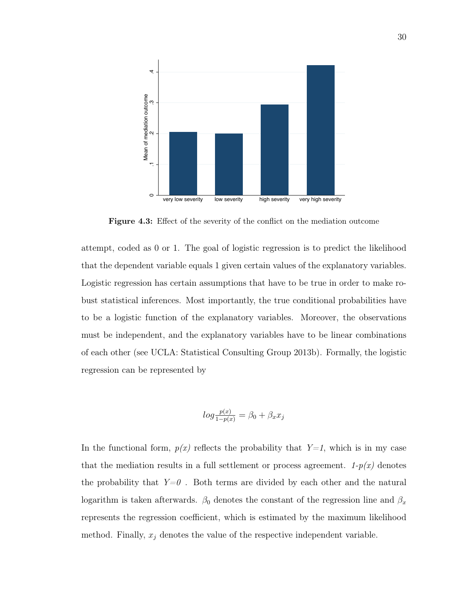

Figure 4.3: Effect of the severity of the conflict on the mediation outcome

attempt, coded as 0 or 1. The goal of logistic regression is to predict the likelihood that the dependent variable equals 1 given certain values of the explanatory variables. Logistic regression has certain assumptions that have to be true in order to make robust statistical inferences. Most importantly, the true conditional probabilities have to be a logistic function of the explanatory variables. Moreover, the observations must be independent, and the explanatory variables have to be linear combinations of each other (see UCLA: Statistical Consulting Group 2013b). Formally, the logistic regression can be represented by

$$
log\frac{p(x)}{1-p(x)} = \beta_0 + \beta_x x_j
$$

In the functional form,  $p(x)$  reflects the probability that  $Y=1$ , which is in my case that the mediation results in a full settlement or process agreement.  $1-p(x)$  denotes the probability that  $Y=0$ . Both terms are divided by each other and the natural logarithm is taken afterwards.  $\beta_0$  denotes the constant of the regression line and  $\beta_x$ represents the regression coefficient, which is estimated by the maximum likelihood method. Finally,  $x_j$  denotes the value of the respective independent variable.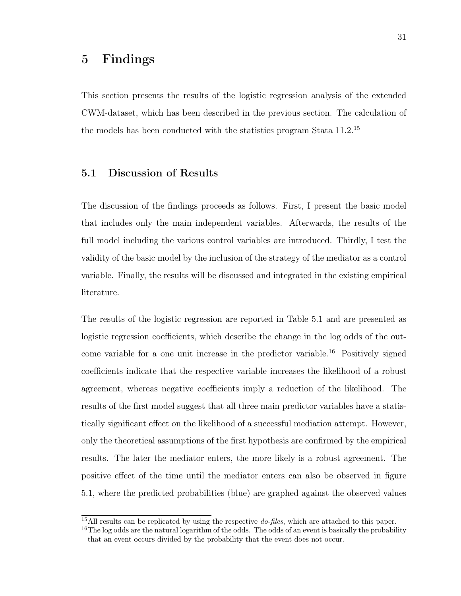# 5 Findings

This section presents the results of the logistic regression analysis of the extended CWM-dataset, which has been described in the previous section. The calculation of the models has been conducted with the statistics program Stata 11.2.<sup>15</sup>

## 5.1 Discussion of Results

The discussion of the findings proceeds as follows. First, I present the basic model that includes only the main independent variables. Afterwards, the results of the full model including the various control variables are introduced. Thirdly, I test the validity of the basic model by the inclusion of the strategy of the mediator as a control variable. Finally, the results will be discussed and integrated in the existing empirical literature.

The results of the logistic regression are reported in Table 5.1 and are presented as logistic regression coefficients, which describe the change in the log odds of the outcome variable for a one unit increase in the predictor variable.<sup>16</sup> Positively signed coefficients indicate that the respective variable increases the likelihood of a robust agreement, whereas negative coefficients imply a reduction of the likelihood. The results of the first model suggest that all three main predictor variables have a statistically significant effect on the likelihood of a successful mediation attempt. However, only the theoretical assumptions of the first hypothesis are confirmed by the empirical results. The later the mediator enters, the more likely is a robust agreement. The positive effect of the time until the mediator enters can also be observed in figure 5.1, where the predicted probabilities (blue) are graphed against the observed values

<sup>15</sup>All results can be replicated by using the respective *do-files*, which are attached to this paper.

 $16$ The log odds are the natural logarithm of the odds. The odds of an event is basically the probability that an event occurs divided by the probability that the event does not occur.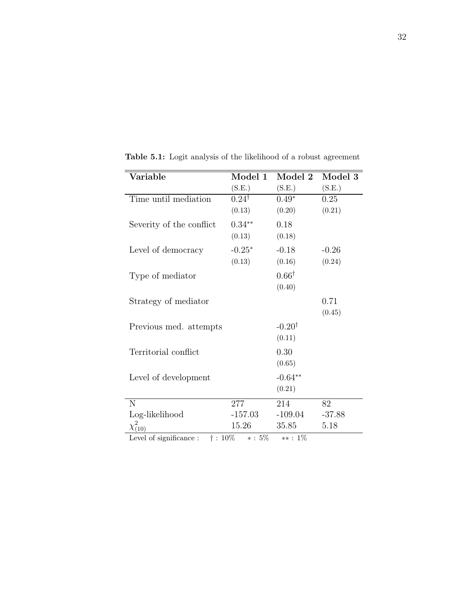| $\rm \bar{V}$ ariable                                  | Model 1          | Model 2           | Model 3  |
|--------------------------------------------------------|------------------|-------------------|----------|
|                                                        | (S.E.)           | (S.E.)            | (S.E.)   |
| Time until mediation                                   | $0.24^{\dagger}$ | $0.49*$           | 0.25     |
|                                                        | (0.13)           | (0.20)            | (0.21)   |
| Severity of the conflict                               | $0.34**$         | 0.18              |          |
|                                                        | (0.13)           | (0.18)            |          |
| Level of democracy                                     | $-0.25*$         | $-0.18$           | $-0.26$  |
|                                                        | (0.13)           | (0.16)            | (0.24)   |
| Type of mediator                                       |                  | $0.66^{\dagger}$  |          |
|                                                        |                  | (0.40)            |          |
| Strategy of mediator                                   |                  |                   | 0.71     |
|                                                        |                  |                   | (0.45)   |
| Previous med. attempts                                 |                  | $-0.20^{\dagger}$ |          |
|                                                        |                  | (0.11)            |          |
| Territorial conflict                                   |                  | 0.30              |          |
|                                                        |                  | (0.65)            |          |
| Level of development                                   |                  | $-0.64**$         |          |
|                                                        |                  | (0.21)            |          |
| $\mathbf N$                                            | 277              | 214               | 82       |
| Log-likelihood                                         | $-157.03$        | $-109.04$         | $-37.88$ |
| $\chi^{2}_{(10)}$                                      | 15.26            | 35.85             | 5.18     |
| $1 \quad C \quad \cdots \quad C$<br>$\frac{1}{2}$ 1007 | $F \cap F$       | 107               |          |

Table 5.1: Logit analysis of the likelihood of a robust agreement

Level of significance :  $\dagger$  : 10% \* : 5% \*\* : 1%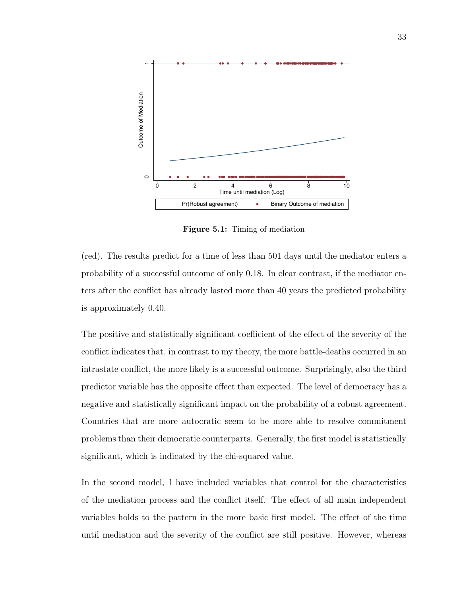

Figure 5.1: Timing of mediation

(red). The results predict for a time of less than 501 days until the mediator enters a probability of a successful outcome of only 0.18. In clear contrast, if the mediator enters after the conflict has already lasted more than 40 years the predicted probability is approximately 0.40.

The positive and statistically significant coefficient of the effect of the severity of the conflict indicates that, in contrast to my theory, the more battle-deaths occurred in an intrastate conflict, the more likely is a successful outcome. Surprisingly, also the third predictor variable has the opposite effect than expected. The level of democracy has a negative and statistically significant impact on the probability of a robust agreement. Countries that are more autocratic seem to be more able to resolve commitment problems than their democratic counterparts. Generally, the first model is statistically significant, which is indicated by the chi-squared value.

In the second model, I have included variables that control for the characteristics of the mediation process and the conflict itself. The effect of all main independent variables holds to the pattern in the more basic first model. The effect of the time until mediation and the severity of the conflict are still positive. However, whereas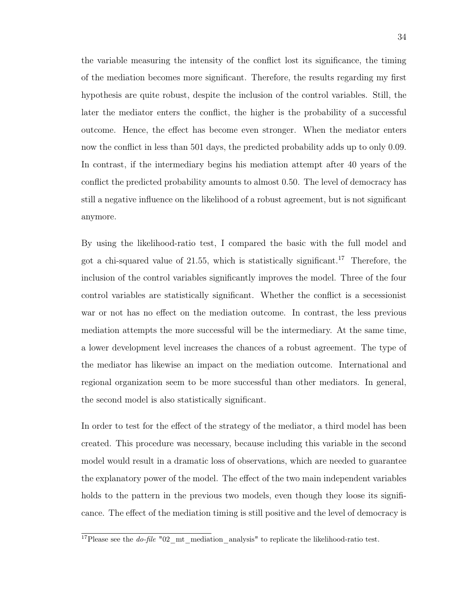the variable measuring the intensity of the conflict lost its significance, the timing of the mediation becomes more significant. Therefore, the results regarding my first hypothesis are quite robust, despite the inclusion of the control variables. Still, the later the mediator enters the conflict, the higher is the probability of a successful outcome. Hence, the effect has become even stronger. When the mediator enters now the conflict in less than 501 days, the predicted probability adds up to only 0.09. In contrast, if the intermediary begins his mediation attempt after 40 years of the conflict the predicted probability amounts to almost 0.50. The level of democracy has still a negative influence on the likelihood of a robust agreement, but is not significant anymore.

By using the likelihood-ratio test, I compared the basic with the full model and got a chi-squared value of 21.55, which is statistically significant.<sup>17</sup> Therefore, the inclusion of the control variables significantly improves the model. Three of the four control variables are statistically significant. Whether the conflict is a secessionist war or not has no effect on the mediation outcome. In contrast, the less previous mediation attempts the more successful will be the intermediary. At the same time, a lower development level increases the chances of a robust agreement. The type of the mediator has likewise an impact on the mediation outcome. International and regional organization seem to be more successful than other mediators. In general, the second model is also statistically significant.

In order to test for the effect of the strategy of the mediator, a third model has been created. This procedure was necessary, because including this variable in the second model would result in a dramatic loss of observations, which are needed to guarantee the explanatory power of the model. The effect of the two main independent variables holds to the pattern in the previous two models, even though they loose its significance. The effect of the mediation timing is still positive and the level of democracy is

<sup>&</sup>lt;sup>17</sup>Please see the *do-file*  $"02$  mt mediation analysis" to replicate the likelihood-ratio test.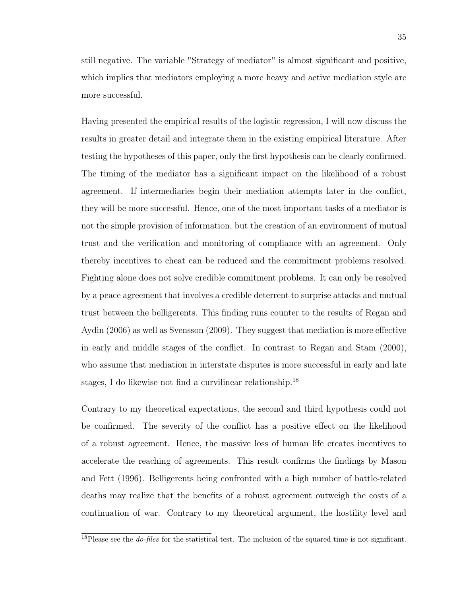still negative. The variable "Strategy of mediator" is almost significant and positive, which implies that mediators employing a more heavy and active mediation style are more successful.

Having presented the empirical results of the logistic regression, I will now discuss the results in greater detail and integrate them in the existing empirical literature. After testing the hypotheses of this paper, only the first hypothesis can be clearly confirmed. The timing of the mediator has a significant impact on the likelihood of a robust agreement. If intermediaries begin their mediation attempts later in the conflict, they will be more successful. Hence, one of the most important tasks of a mediator is not the simple provision of information, but the creation of an environment of mutual trust and the verification and monitoring of compliance with an agreement. Only thereby incentives to cheat can be reduced and the commitment problems resolved. Fighting alone does not solve credible commitment problems. It can only be resolved by a peace agreement that involves a credible deterrent to surprise attacks and mutual trust between the belligerents. This finding runs counter to the results of Regan and Aydin (2006) as well as Svensson (2009). They suggest that mediation is more effective in early and middle stages of the conflict. In contrast to Regan and Stam (2000), who assume that mediation in interstate disputes is more successful in early and late stages, I do likewise not find a curvilinear relationship.<sup>18</sup>

Contrary to my theoretical expectations, the second and third hypothesis could not be confirmed. The severity of the conflict has a positive effect on the likelihood of a robust agreement. Hence, the massive loss of human life creates incentives to accelerate the reaching of agreements. This result confirms the findings by Mason and Fett (1996). Belligerents being confronted with a high number of battle-related deaths may realize that the benefits of a robust agreement outweigh the costs of a continuation of war. Contrary to my theoretical argument, the hostility level and

<sup>&</sup>lt;sup>18</sup>Please see the *do-files* for the statistical test. The inclusion of the squared time is not significant.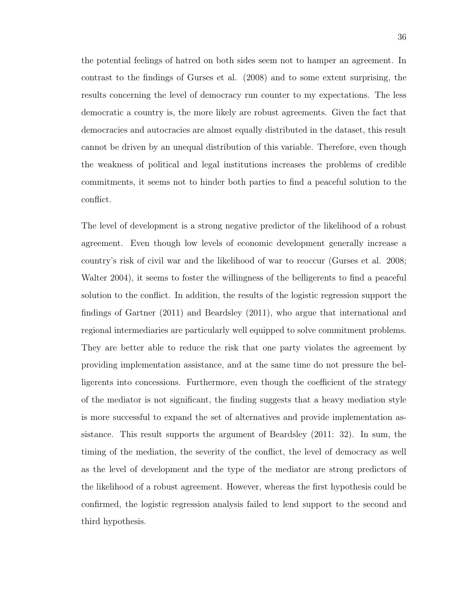the potential feelings of hatred on both sides seem not to hamper an agreement. In contrast to the findings of Gurses et al. (2008) and to some extent surprising, the results concerning the level of democracy run counter to my expectations. The less democratic a country is, the more likely are robust agreements. Given the fact that democracies and autocracies are almost equally distributed in the dataset, this result cannot be driven by an unequal distribution of this variable. Therefore, even though the weakness of political and legal institutions increases the problems of credible commitments, it seems not to hinder both parties to find a peaceful solution to the conflict.

The level of development is a strong negative predictor of the likelihood of a robust agreement. Even though low levels of economic development generally increase a country's risk of civil war and the likelihood of war to reoccur (Gurses et al. 2008; Walter 2004), it seems to foster the willingness of the belligerents to find a peaceful solution to the conflict. In addition, the results of the logistic regression support the findings of Gartner (2011) and Beardsley (2011), who argue that international and regional intermediaries are particularly well equipped to solve commitment problems. They are better able to reduce the risk that one party violates the agreement by providing implementation assistance, and at the same time do not pressure the belligerents into concessions. Furthermore, even though the coefficient of the strategy of the mediator is not significant, the finding suggests that a heavy mediation style is more successful to expand the set of alternatives and provide implementation assistance. This result supports the argument of Beardsley (2011: 32). In sum, the timing of the mediation, the severity of the conflict, the level of democracy as well as the level of development and the type of the mediator are strong predictors of the likelihood of a robust agreement. However, whereas the first hypothesis could be confirmed, the logistic regression analysis failed to lend support to the second and third hypothesis.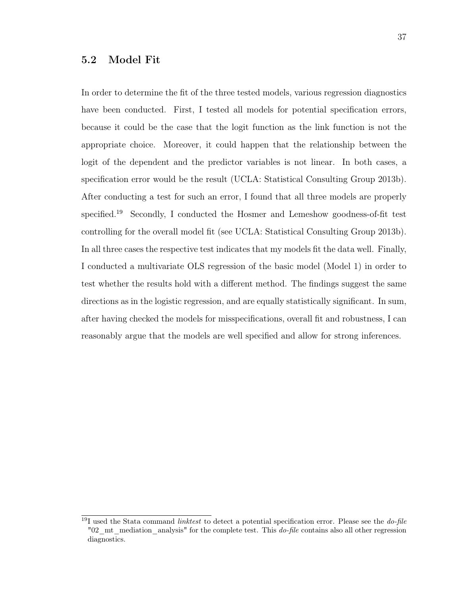## 5.2 Model Fit

In order to determine the fit of the three tested models, various regression diagnostics have been conducted. First, I tested all models for potential specification errors, because it could be the case that the logit function as the link function is not the appropriate choice. Moreover, it could happen that the relationship between the logit of the dependent and the predictor variables is not linear. In both cases, a specification error would be the result (UCLA: Statistical Consulting Group 2013b). After conducting a test for such an error, I found that all three models are properly specified.<sup>19</sup> Secondly, I conducted the Hosmer and Lemeshow goodness-of-fit test controlling for the overall model fit (see UCLA: Statistical Consulting Group 2013b). In all three cases the respective test indicates that my models fit the data well. Finally, I conducted a multivariate OLS regression of the basic model (Model 1) in order to test whether the results hold with a different method. The findings suggest the same directions as in the logistic regression, and are equally statistically significant. In sum, after having checked the models for misspecifications, overall fit and robustness, I can reasonably argue that the models are well specified and allow for strong inferences.

<sup>19</sup>I used the Stata command *linktest* to detect a potential specification error. Please see the *do-file* "02\_mt\_mediation\_analysis" for the complete test. This *do-file* contains also all other regression diagnostics.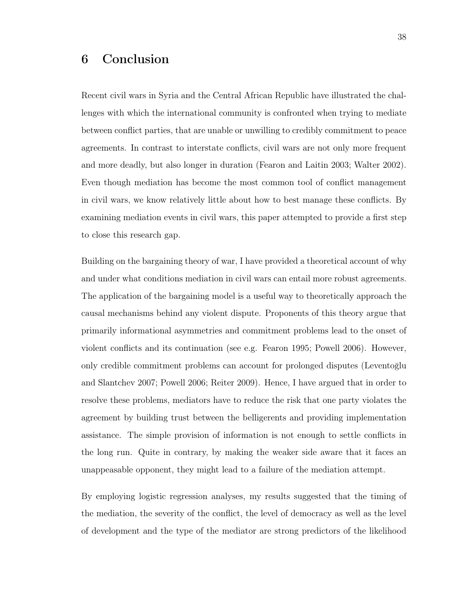# 6 Conclusion

Recent civil wars in Syria and the Central African Republic have illustrated the challenges with which the international community is confronted when trying to mediate between conflict parties, that are unable or unwilling to credibly commitment to peace agreements. In contrast to interstate conflicts, civil wars are not only more frequent and more deadly, but also longer in duration (Fearon and Laitin 2003; Walter 2002). Even though mediation has become the most common tool of conflict management in civil wars, we know relatively little about how to best manage these conflicts. By examining mediation events in civil wars, this paper attempted to provide a first step to close this research gap.

Building on the bargaining theory of war, I have provided a theoretical account of why and under what conditions mediation in civil wars can entail more robust agreements. The application of the bargaining model is a useful way to theoretically approach the causal mechanisms behind any violent dispute. Proponents of this theory argue that primarily informational asymmetries and commitment problems lead to the onset of violent conflicts and its continuation (see e.g. Fearon 1995; Powell 2006). However, only credible commitment problems can account for prolonged disputes (Leventoğlu and Slantchev 2007; Powell 2006; Reiter 2009). Hence, I have argued that in order to resolve these problems, mediators have to reduce the risk that one party violates the agreement by building trust between the belligerents and providing implementation assistance. The simple provision of information is not enough to settle conflicts in the long run. Quite in contrary, by making the weaker side aware that it faces an unappeasable opponent, they might lead to a failure of the mediation attempt.

By employing logistic regression analyses, my results suggested that the timing of the mediation, the severity of the conflict, the level of democracy as well as the level of development and the type of the mediator are strong predictors of the likelihood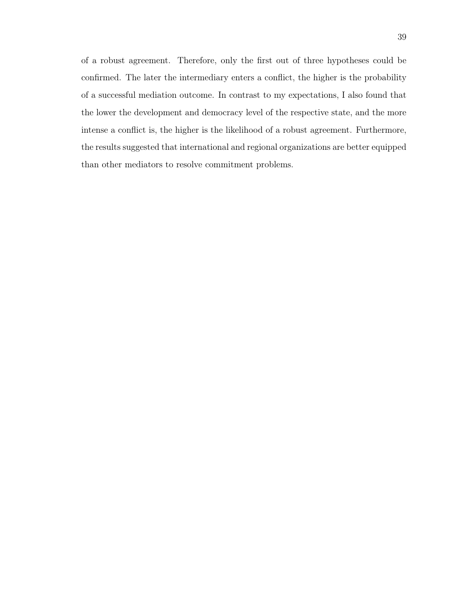of a robust agreement. Therefore, only the first out of three hypotheses could be confirmed. The later the intermediary enters a conflict, the higher is the probability of a successful mediation outcome. In contrast to my expectations, I also found that the lower the development and democracy level of the respective state, and the more intense a conflict is, the higher is the likelihood of a robust agreement. Furthermore, the results suggested that international and regional organizations are better equipped than other mediators to resolve commitment problems.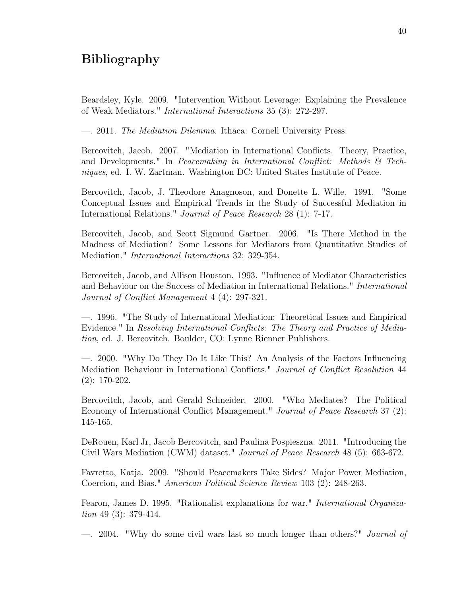# Bibliography

Beardsley, Kyle. 2009. "Intervention Without Leverage: Explaining the Prevalence of Weak Mediators." *International Interactions* 35 (3): 272-297.

—. 2011. *The Mediation Dilemma*. Ithaca: Cornell University Press.

Bercovitch, Jacob. 2007. "Mediation in International Conflicts. Theory, Practice, and Developments." In *Peacemaking in International Conflict: Methods & Techniques*, ed. I. W. Zartman. Washington DC: United States Institute of Peace.

Bercovitch, Jacob, J. Theodore Anagnoson, and Donette L. Wille. 1991. "Some Conceptual Issues and Empirical Trends in the Study of Successful Mediation in International Relations." *Journal of Peace Research* 28 (1): 7-17.

Bercovitch, Jacob, and Scott Sigmund Gartner. 2006. "Is There Method in the Madness of Mediation? Some Lessons for Mediators from Quantitative Studies of Mediation." *International Interactions* 32: 329-354.

Bercovitch, Jacob, and Allison Houston. 1993. "Influence of Mediator Characteristics and Behaviour on the Success of Mediation in International Relations." *International Journal of Conflict Management* 4 (4): 297-321.

—. 1996. "The Study of International Mediation: Theoretical Issues and Empirical Evidence." In *Resolving International Conflicts: The Theory and Practice of Mediation*, ed. J. Bercovitch. Boulder, CO: Lynne Rienner Publishers.

—. 2000. "Why Do They Do It Like This? An Analysis of the Factors Influencing Mediation Behaviour in International Conflicts." *Journal of Conflict Resolution* 44 (2): 170-202.

Bercovitch, Jacob, and Gerald Schneider. 2000. "Who Mediates? The Political Economy of International Conflict Management." *Journal of Peace Research* 37 (2): 145-165.

DeRouen, Karl Jr, Jacob Bercovitch, and Paulina Pospieszna. 2011. "Introducing the Civil Wars Mediation (CWM) dataset." *Journal of Peace Research* 48 (5): 663-672.

Favretto, Katja. 2009. "Should Peacemakers Take Sides? Major Power Mediation, Coercion, and Bias." *American Political Science Review* 103 (2): 248-263.

Fearon, James D. 1995. "Rationalist explanations for war." *International Organization* 49 (3): 379-414.

—. 2004. "Why do some civil wars last so much longer than others?" *Journal of*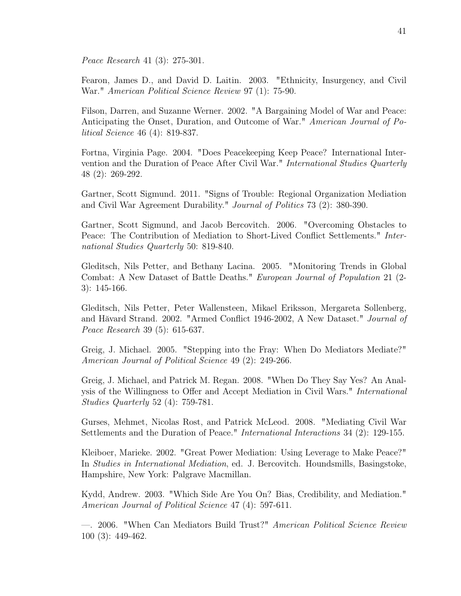*Peace Research* 41 (3): 275-301.

Fearon, James D., and David D. Laitin. 2003. "Ethnicity, Insurgency, and Civil War." *American Political Science Review* 97 (1): 75-90.

Filson, Darren, and Suzanne Werner. 2002. "A Bargaining Model of War and Peace: Anticipating the Onset, Duration, and Outcome of War." *American Journal of Political Science* 46 (4): 819-837.

Fortna, Virginia Page. 2004. "Does Peacekeeping Keep Peace? International Intervention and the Duration of Peace After Civil War." *International Studies Quarterly* 48 (2): 269-292.

Gartner, Scott Sigmund. 2011. "Signs of Trouble: Regional Organization Mediation and Civil War Agreement Durability." *Journal of Politics* 73 (2): 380-390.

Gartner, Scott Sigmund, and Jacob Bercovitch. 2006. "Overcoming Obstacles to Peace: The Contribution of Mediation to Short-Lived Conflict Settlements." *International Studies Quarterly* 50: 819-840.

Gleditsch, Nils Petter, and Bethany Lacina. 2005. "Monitoring Trends in Global Combat: A New Dataset of Battle Deaths." *European Journal of Population* 21 (2- 3): 145-166.

Gleditsch, Nils Petter, Peter Wallensteen, Mikael Eriksson, Mergareta Sollenberg, and Hăvard Strand. 2002. "Armed Conflict 1946-2002, A New Dataset." *Journal of Peace Research* 39 (5): 615-637.

Greig, J. Michael. 2005. "Stepping into the Fray: When Do Mediators Mediate?" *American Journal of Political Science* 49 (2): 249-266.

Greig, J. Michael, and Patrick M. Regan. 2008. "When Do They Say Yes? An Analysis of the Willingness to Offer and Accept Mediation in Civil Wars." *International Studies Quarterly* 52 (4): 759-781.

Gurses, Mehmet, Nicolas Rost, and Patrick McLeod. 2008. "Mediating Civil War Settlements and the Duration of Peace." *International Interactions* 34 (2): 129-155.

Kleiboer, Marieke. 2002. "Great Power Mediation: Using Leverage to Make Peace?" In *Studies in International Mediation*, ed. J. Bercovitch. Houndsmills, Basingstoke, Hampshire, New York: Palgrave Macmillan.

Kydd, Andrew. 2003. "Which Side Are You On? Bias, Credibility, and Mediation." *American Journal of Political Science* 47 (4): 597-611.

—. 2006. "When Can Mediators Build Trust?" *American Political Science Review* 100 (3): 449-462.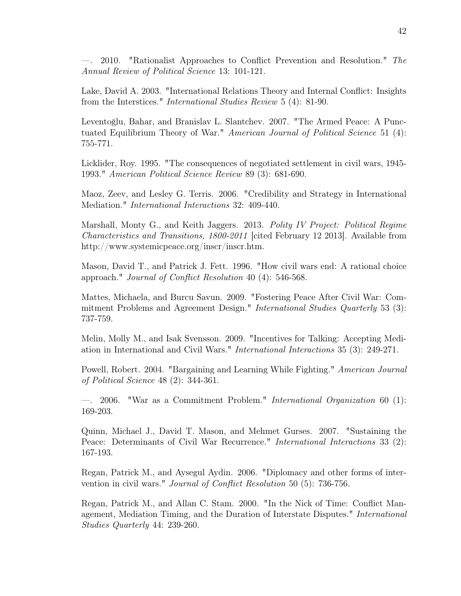—. 2010. "Rationalist Approaches to Conflict Prevention and Resolution." *The Annual Review of Political Science* 13: 101-121.

Lake, David A. 2003. "International Relations Theory and Internal Conflict: Insights from the Interstices." *International Studies Review* 5 (4): 81-90.

Leventoğlu, Bahar, and Branislav L. Slantchev. 2007. "The Armed Peace: A Punctuated Equilibrium Theory of War." *American Journal of Political Science* 51 (4): 755-771.

Licklider, Roy. 1995. "The consequences of negotiated settlement in civil wars, 1945- 1993." *American Political Science Review* 89 (3): 681-690.

Maoz, Zeev, and Lesley G. Terris. 2006. "Credibility and Strategy in International Mediation." *International Interactions* 32: 409-440.

Marshall, Monty G., and Keith Jaggers. 2013. *Polity IV Project: Political Regime Characteristics and Transitions, 1800-2011* [cited February 12 2013]. Available from http://www.systemicpeace.org/inscr/inscr.htm.

Mason, David T., and Patrick J. Fett. 1996. "How civil wars end: A rational choice approach." *Journal of Conflict Resolution* 40 (4): 546-568.

Mattes, Michaela, and Burcu Savun. 2009. "Fostering Peace After Civil War: Commitment Problems and Agreement Design." *International Studies Quarterly* 53 (3): 737-759.

Melin, Molly M., and Isak Svensson. 2009. "Incentives for Talking: Accepting Mediation in International and Civil Wars." *International Interactions* 35 (3): 249-271.

Powell, Robert. 2004. "Bargaining and Learning While Fighting." *American Journal of Political Science* 48 (2): 344-361.

—. 2006. "War as a Commitment Problem." *International Organization* 60 (1): 169-203.

Quinn, Michael J., David T. Mason, and Mehmet Gurses. 2007. "Sustaining the Peace: Determinants of Civil War Recurrence." *International Interactions* 33 (2): 167-193.

Regan, Patrick M., and Aysegul Aydin. 2006. "Diplomacy and other forms of intervention in civil wars." *Journal of Conflict Resolution* 50 (5): 736-756.

Regan, Patrick M., and Allan C. Stam. 2000. "In the Nick of Time: Conflict Management, Mediation Timing, and the Duration of Interstate Disputes." *International Studies Quarterly* 44: 239-260.